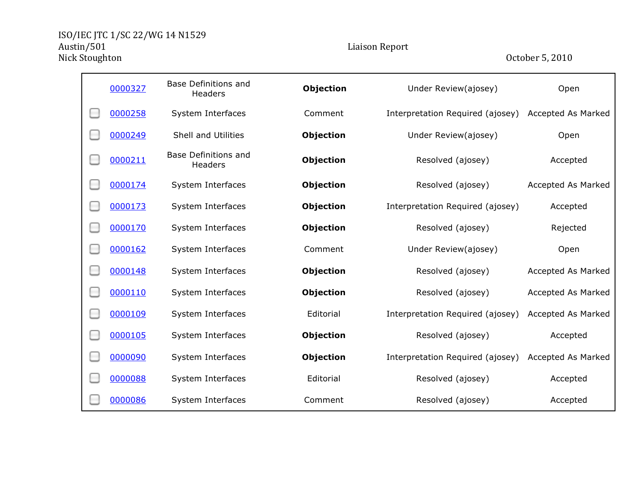Ē.

| 0000327 | <b>Base Definitions and</b><br>Headers | Objection        | Under Review(ajosey)             | Open               |
|---------|----------------------------------------|------------------|----------------------------------|--------------------|
| 0000258 | System Interfaces                      | Comment          | Interpretation Required (ajosey) | Accepted As Marked |
| 0000249 | Shell and Utilities                    | <b>Objection</b> | Under Review(ajosey)             | Open               |
| 0000211 | <b>Base Definitions and</b><br>Headers | <b>Objection</b> | Resolved (ajosey)                | Accepted           |
| 0000174 | System Interfaces                      | <b>Objection</b> | Resolved (ajosey)                | Accepted As Marked |
| 0000173 | System Interfaces                      | <b>Objection</b> | Interpretation Required (ajosey) | Accepted           |
| 0000170 | System Interfaces                      | <b>Objection</b> | Resolved (ajosey)                | Rejected           |
| 0000162 | System Interfaces                      | Comment          | Under Review(ajosey)             | Open               |
| 0000148 | System Interfaces                      | <b>Objection</b> | Resolved (ajosey)                | Accepted As Marked |
| 0000110 | System Interfaces                      | <b>Objection</b> | Resolved (ajosey)                | Accepted As Marked |
| 0000109 | System Interfaces                      | Editorial        | Interpretation Required (ajosey) | Accepted As Marked |
| 0000105 | System Interfaces                      | <b>Objection</b> | Resolved (ajosey)                | Accepted           |
| 0000090 | System Interfaces                      | Objection        | Interpretation Required (ajosey) | Accepted As Marked |
| 0000088 | System Interfaces                      | Editorial        | Resolved (ajosey)                | Accepted           |
| 0000086 | System Interfaces                      | Comment          | Resolved (ajosey)                | Accepted           |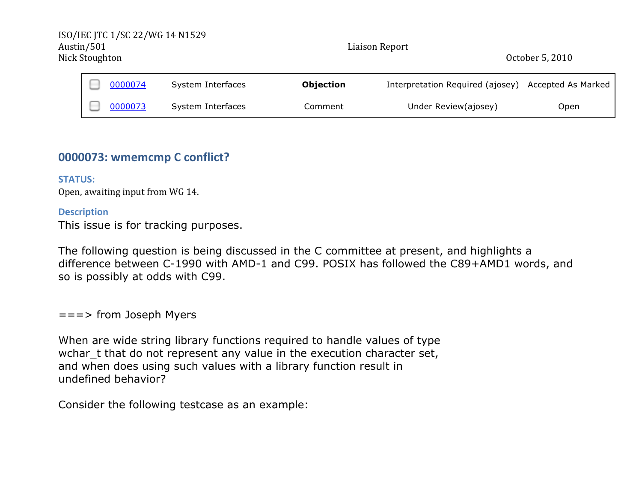| ISO/IEC JTC 1/SC 22/WG 14 N1529<br>Austin/501<br>Nick Stoughton |         |                   | Liaison Report   |                                  | October 5, 2010    |
|-----------------------------------------------------------------|---------|-------------------|------------------|----------------------------------|--------------------|
|                                                                 | 0000074 | System Interfaces | <b>Objection</b> | Interpretation Required (ajosey) | Accepted As Marked |
|                                                                 | 0000073 | System Interfaces | Comment          | Under Review(ajosey)             | Open               |

# **0000073: wmemcmp C conflict?**

## **STATUS:**

Open, awaiting input from WG 14.

### **Description**

This issue is for tracking purposes.

The following question is being discussed in the C committee at present, and highlights a difference between C-1990 with AMD-1 and C99. POSIX has followed the C89+AMD1 words, and so is possibly at odds with C99.

===> from Joseph Myers

When are wide string library functions required to handle values of type wchar t that do not represent any value in the execution character set, and when does using such values with a library function result in undefined behavior?

Consider the following testcase as an example: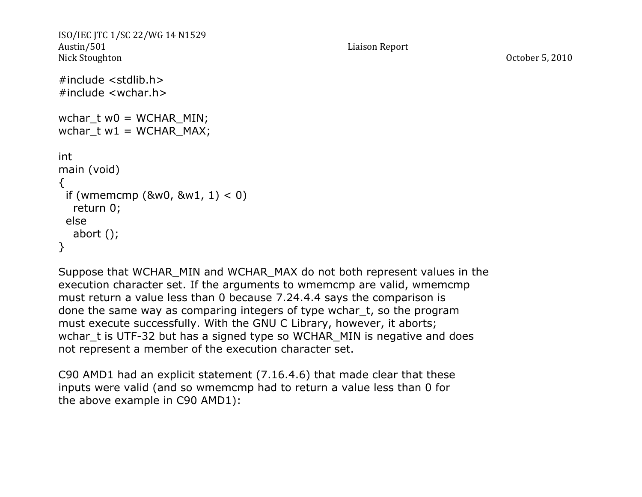```
ISO/IEC JTC 1/SC 22/WG 14 N1529
Austin/501 Liaison Report
Nick Stoughton October 5, 2010
#include <stdlib.h>
#include <wchar.h>
wchar tw0 = WCHAR MIN;
wchar t w1 = WCHAR MAX;int
main (void)
\{if (wmemcmp (&w0, &w1, 1) < 0)
  return 0;
 else
  abort ();
}
```
Suppose that WCHAR\_MIN and WCHAR\_MAX do not both represent values in the execution character set. If the arguments to wmemcmp are valid, wmemcmp must return a value less than 0 because 7.24.4.4 says the comparison is done the same way as comparing integers of type wchar\_t, so the program must execute successfully. With the GNU C Library, however, it aborts; wchar\_t is UTF-32 but has a signed type so WCHAR\_MIN is negative and does not represent a member of the execution character set.

C90 AMD1 had an explicit statement (7.16.4.6) that made clear that these inputs were valid (and so wmemcmp had to return a value less than 0 for the above example in C90 AMD1):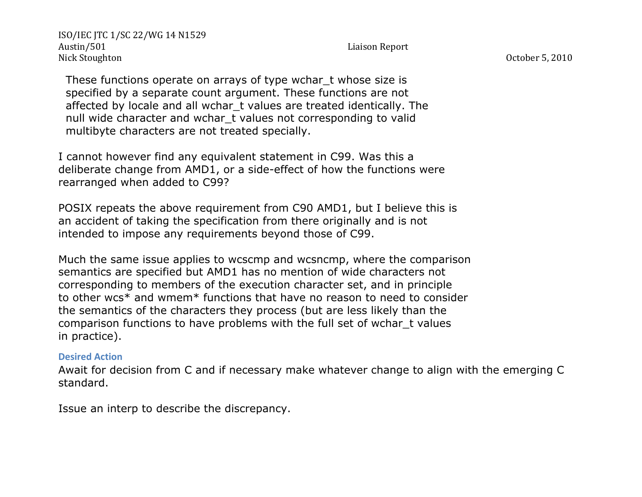These functions operate on arrays of type wchar t whose size is specified by a separate count argument. These functions are not affected by locale and all wchar t values are treated identically. The null wide character and wchar\_t values not corresponding to valid multibyte characters are not treated specially.

I cannot however find any equivalent statement in C99. Was this a deliberate change from AMD1, or a side-effect of how the functions were rearranged when added to C99?

POSIX repeats the above requirement from C90 AMD1, but I believe this is an accident of taking the specification from there originally and is not intended to impose any requirements beyond those of C99.

Much the same issue applies to wcscmp and wcsncmp, where the comparison semantics are specified but AMD1 has no mention of wide characters not corresponding to members of the execution character set, and in principle to other wcs\* and wmem\* functions that have no reason to need to consider the semantics of the characters they process (but are less likely than the comparison functions to have problems with the full set of wchar\_t values in practice).

### **Desired Action**

Await for decision from C and if necessary make whatever change to align with the emerging C standard.

Issue an interp to describe the discrepancy.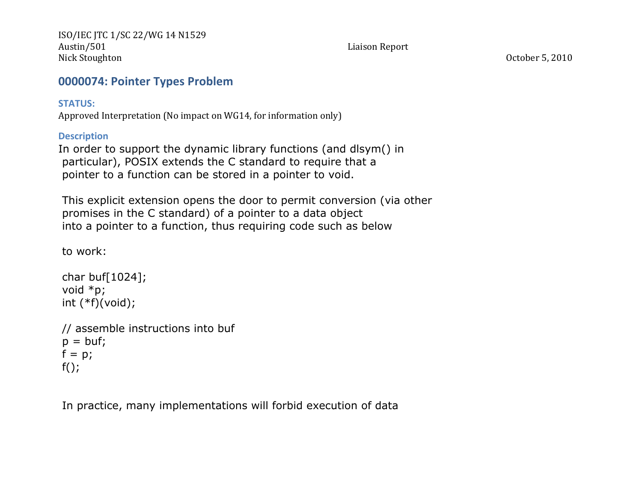# **0000074: Pointer Types Problem**

## **STATUS:%**

Approved Interpretation (No impact on WG14, for information only)

## **Description**

In order to support the dynamic library functions (and dlsym() in particular), POSIX extends the C standard to require that a pointer to a function can be stored in a pointer to void.

This explicit extension opens the door to permit conversion (via other promises in the C standard) of a pointer to a data object into a pointer to a function, thus requiring code such as below

to work:

```
char buf[1024];
void *p;
int (*f)(void);// assemble instructions into buf
p = \text{buf};f = p;
f();
```
In practice, many implementations will forbid execution of data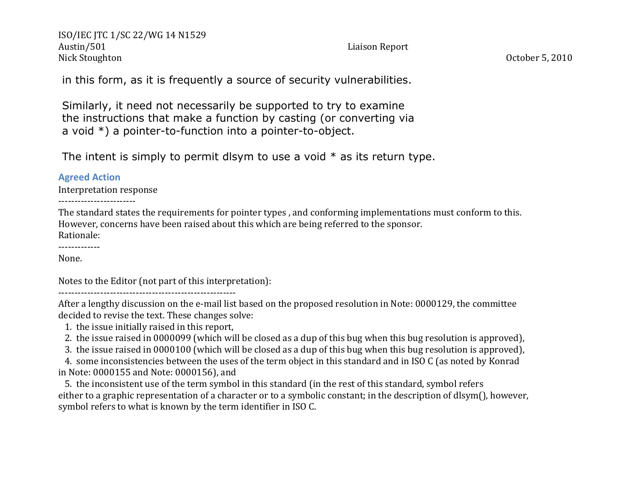in this form, as it is frequently a source of security vulnerabilities.

Similarly, it need not necessarily be supported to try to examine the instructions that make a function by casting (or converting via a void \*) a pointer-to-function into a pointer-to-object.

The intent is simply to permit dlsym to use a void  $*$  as its return type.

### **Agreed Action**

Interpretation response

---------------------

The standard states the requirements for pointer types, and conforming implementations must conform to this. However, concerns have been raised about this which are being referred to the sponsor. Rationale:

------------

None.

Notes to the Editor (not part of this interpretation):

PPPPPPPPPPPPPPPPPPPPPPPPPPPPPPPPPPPPPPPPPPPPPPPPPPPPPPP'''

After a lengthy discussion on the e-mail list based on the proposed resolution in Note: 0000129, the committee decided to revise the text. These changes solve:

1. the issue initially raised in this report,

2. the issue raised in 0000099 (which will be closed as a dup of this bug when this bug resolution is approved),

3. the issue raised in 0000100 (which will be closed as a dup of this bug when this bug resolution is approved),

4. some inconsistencies between the uses of the term object in this standard and in ISO C (as noted by Konrad in Note: 0000155 and Note: 0000156), and

5. the inconsistent use of the term symbol in this standard (in the rest of this standard, symbol refers' either to a graphic representation of a character or to a symbolic constant; in the description of dlsym(), however, symbol refers to what is known by the term identifier in ISO C.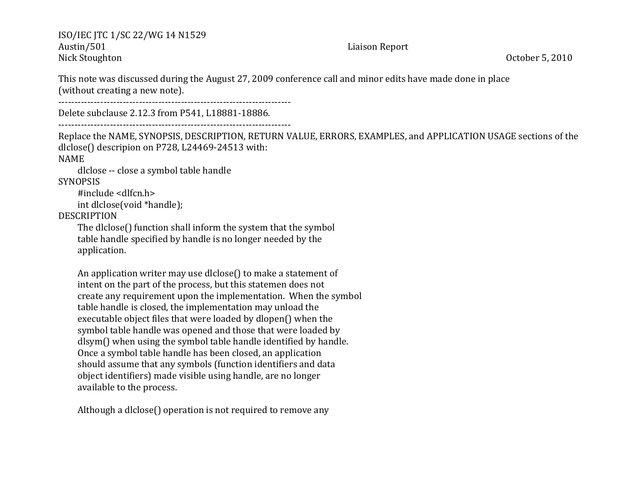This note was discussed during the August 27, 2009 conference call and minor edits have made done in place (without creating a new note).

PPPPPPPPPPPPPPPPPPPPPPPPPPPPPPPPPPPPPPPPPPPPPPPPPPPPPPPPPPPPPPPPPPPPPPPP''

Delete subclause 2.12.3 from P541, L18881-18886.

PPPPPPPPPPPPPPPPPPPPPPPPPPPPPPPPPPPPPPPPPPPPPPPPPPPPPPPPPPPPPPPPPPPPPPPP''

Replace the NAME, SYNOPSIS, DESCRIPTION, RETURN VALUE, ERRORS, EXAMPLES, and APPLICATION USAGE sections of the dlclose() descripion on P728, L24469-24513 with: NAME

dlclose -- close a symbol table handle

**SYNOPSIS** 

#include <dlfcn.h> int dlclose(void \*handle);

DESCRIPTION

The dlclose() function shall inform the system that the symbol table handle specified by handle is no longer needed by the application.

An application writer may use dlclose() to make a statement of intent on the part of the process, but this statemen does not create any requirement upon the implementation. When the symbol table handle is closed, the implementation may unload the executable object files that were loaded by dlopen() when the symbol table handle was opened and those that were loaded by dlsym() when using the symbol table handle identified by handle. '''''''''Once'a'symbol'table'handle'has'been'closed,'an'application should assume that any symbols (function identifiers and data object identifiers) made visible using handle, are no longer available to the process.

Although a dlclose() operation is not required to remove any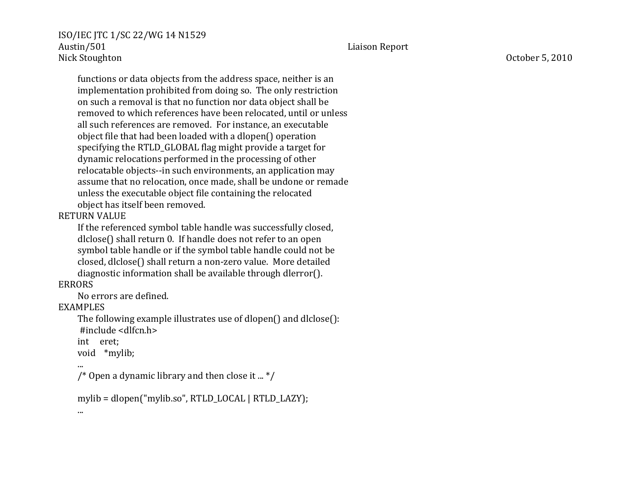functions or data objects from the address space, neither is an implementation prohibited from doing so. The only restriction ''' '''''on'such'a'removal'is'that'no'function'nor'data'object'shall'be '''''''''removed'to'which'references'have'been'relocated,'until'or'unless all such references are removed. For instance, an executable object file that had been loaded with a dlopen() operation specifying the RTLD\_GLOBAL flag might provide a target for dynamic relocations performed in the processing of other relocatable objects--in such environments, an application may assume that no relocation, once made, shall be undone or remade unless the executable object file containing the relocated object has itself been removed.

## RETURN'VALUE

If the referenced symbol table handle was successfully closed, dlclose() shall return 0. If handle does not refer to an open symbol table handle or if the symbol table handle could not be '''''''''closed,'dlclose()'shall'return'a'nonPzero'value.''More'detailed diagnostic information shall be available through dlerror().

# ERRORS

No errors are defined.

## EXAMPLES

The following example illustrates use of dlopen() and dlclose(): ''''''''''#include'<dlfcn.h>

int eret;

void \*mylib;

```
'''''''''...
```
'''''''''...

/\* Open a dynamic library and then close it ...  $*/$ 

```
mylib = dlopen("mylib.so", RTLD_LOCAL | RTLD_LAZY);
```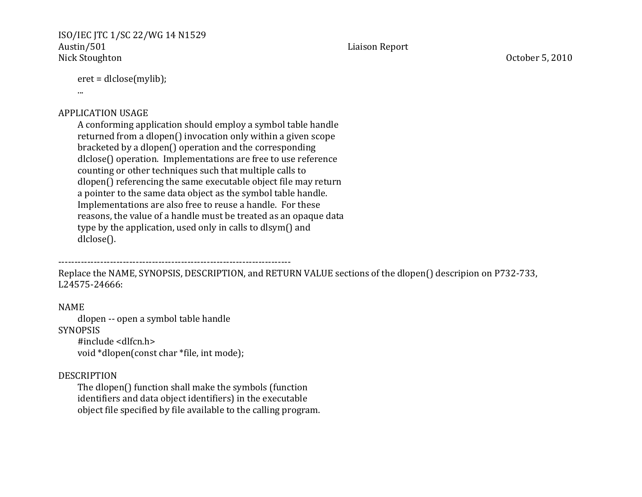```
eret = dlclose(mylib);
```
'''''''''...

## APPLICATION'USAGE

A conforming application should employ a symbol table handle returned from a dlopen() invocation only within a given scope  $bracketed$  by a dlopen() operation and the corresponding dlclose() operation. Implementations are free to use reference counting or other techniques such that multiple calls to dlopen() referencing the same executable object file may return a pointer to the same data object as the symbol table handle. Implementations are also free to reuse a handle. For these reasons, the value of a handle must be treated as an opaque data type by the application, used only in calls to dlsym() and dlclose().

PPPPPPPPPPPPPPPPPPPPPPPPPPPPPPPPPPPPPPPPPPPPPPPPPPPPPPPPPPPPPPPPPPPPPPPP''

Replace the NAME, SYNOPSIS, DESCRIPTION, and RETURN VALUE sections of the dlopen() descripion on P732-733, L24575-24666:

## NAME

dlopen -- open a symbol table handle SYNOPSIS '''' ''''#include'<dlfcn.h> void \*dlopen(const char \*file, int mode);

### DESCRIPTION

The dlopen() function shall make the symbols (function identifiers and data object identifiers) in the executable object file specified by file available to the calling program.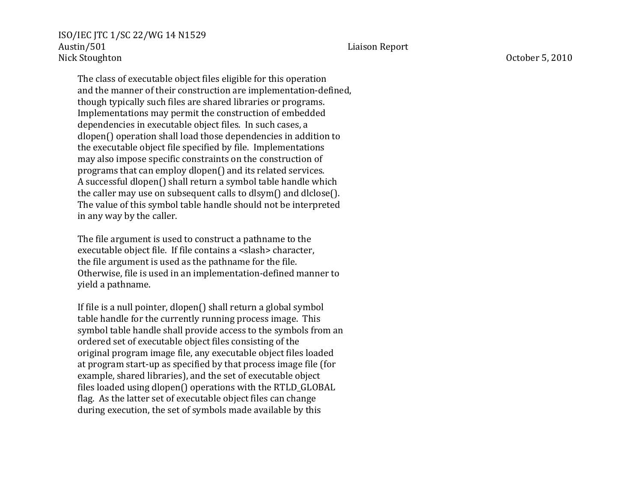The class of executable object files eligible for this operation and the manner of their construction are implementation-defined, though typically such files are shared libraries or programs. Implementations may permit the construction of embedded dependencies in executable object files. In such cases, a ''' '''''dlopen()'operation'shall'load'those'dependencies'in'addition'to the executable object file specified by file. Implementations may also impose specific constraints on the construction of programs that can employ dlopen() and its related services. A successful dlopen() shall return a symbol table handle which the caller may use on subsequent calls to dlsym() and dlclose(). The value of this symbol table handle should not be interpreted

in any way by the caller.

The file argument is used to construct a pathname to the executable object file. If file contains a <slash> character, the file argument is used as the pathname for the file. Otherwise, file is used in an implementation-defined manner to yield a pathname.

If file is a null pointer, dlopen() shall return a global symbol table handle for the currently running process image. This symbol table handle shall provide access to the symbols from an ordered set of executable object files consisting of the '''''''''original'program'image'file,'any'executable'object'files'loaded at program start-up as specified by that process image file (for example, shared libraries), and the set of executable object files loaded using dlopen() operations with the RTLD\_GLOBAL flag. As the latter set of executable object files can change during execution, the set of symbols made available by this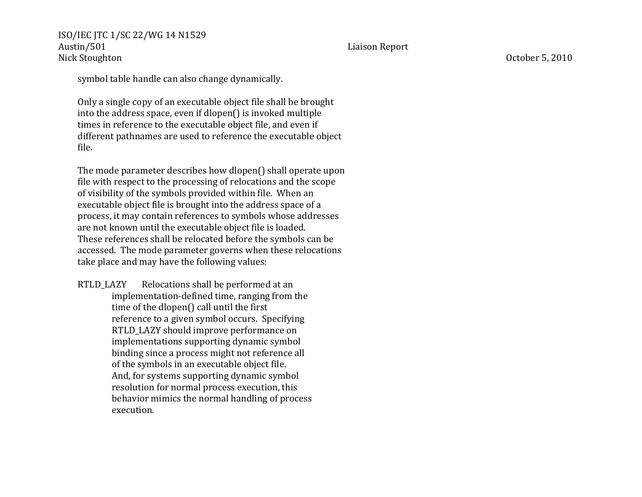Austin/501 Liaison Report Nick Stoughton October 5, 2010

ISO/IEC JTC 1/SC 22/WG 14 N1529

symbol table handle can also change dynamically.

'''''''''Only'a'single'copy'of'an'executable'object'file'shall'be'brought into the address space, even if dlopen() is invoked multiple times in reference to the executable object file, and even if different pathnames are used to reference the executable object file.

The mode parameter describes how dlopen() shall operate upon file with respect to the processing of relocations and the scope of visibility of the symbols provided within file. When an executable object file is brought into the address space of a process, it may contain references to symbols whose addresses are not known until the executable object file is loaded. These references shall be relocated before the symbols can be accessed. The mode parameter governs when these relocations take place and may have the following values:

RTLD\_LAZY Relocations shall be performed at an implementation-defined time, ranging from the time of the dlopen() call until the first reference to a given symbol occurs. Specifying RTLD\_LAZY should improve performance on ''''''''''''''''''' '''''implementations'supporting'dynamic'symbol binding since a process might not reference all of the symbols in an executable object file. And, for systems supporting dynamic symbol resolution for normal process execution, this behavior mimics the normal handling of process execution.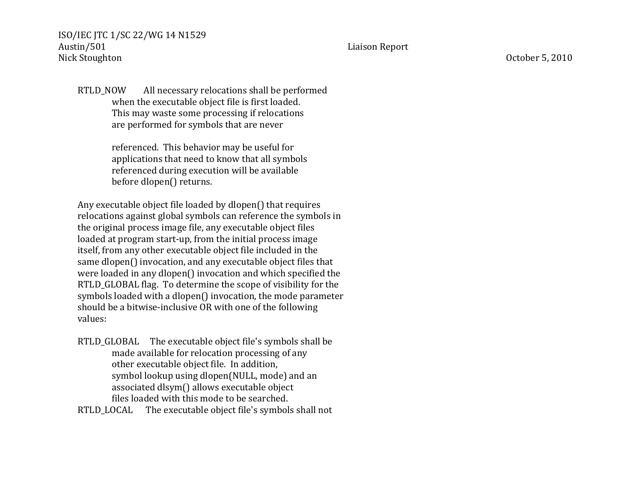RTLD\_NOW All\_necessary relocations shall be performed when the executable object file is first loaded. This may waste some processing if relocations

are performed for symbols that are never

ISO/IEC JTC 1/SC 22/WG 14 N1529

referenced. This behavior may be useful for applications that need to know that all symbols referenced during execution will be available before dlopen() returns.

Any executable object file loaded by dlopen() that requires relocations against global symbols can reference the symbols in the original process image file, any executable object files loaded at program start-up, from the initial process image itself, from any other executable object file included in the same dlopen() invocation, and any executable object files that were loaded in any dlopen() invocation and which specified the RTLD GLOBAL flag. To determine the scope of visibility for the symbols loaded with a dlopen() invocation, the mode parameter should be a bitwise-inclusive OR with one of the following values:

RTLD GLOBAL The executable object file's symbols shall be made available for relocation processing of any other executable object file. In addition, symbol lookup using dlopen(NULL, mode) and an associated dlsym() allows executable object files loaded with this mode to be searched.

RTLD\_LOCAL The executable object file's symbols shall not

Austin/501 Liaison Report

Nick Stoughton October 5, 2010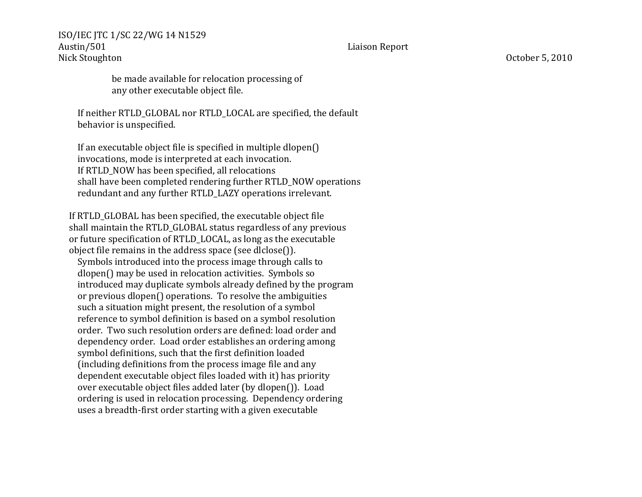> be made available for relocation processing of any other executable object file.

If neither RTLD\_GLOBAL nor RTLD\_LOCAL are specified, the default behavior is unspecified.

If an executable object file is specified in multiple dlopen $()$ invocations, mode is interpreted at each invocation. If RTLD NOW has been specified, all relocations shall have been completed rendering further RTLD\_NOW operations redundant and any further RTLD\_LAZY operations irrelevant.

If RTLD GLOBAL has been specified, the executable object file shall maintain the RTLD GLOBAL status regardless of any previous or future specification of RTLD LOCAL, as long as the executable object file remains in the address space (see dlclose()).

Symbols introduced into the process image through calls to dlopen() may be used in relocation activities. Symbols so introduced may duplicate symbols already defined by the program or previous dlopen() operations. To resolve the ambiguities such a situation might present, the resolution of a symbol reference to symbol definition is based on a symbol resolution order. Two such resolution orders are defined: load order and dependency order. Load order establishes an ordering among symbol definitions, such that the first definition loaded (including definitions from the process image file and any dependent executable object files loaded with it) has priority over executable object files added later (by dlopen()). Load ordering is used in relocation processing. Dependency ordering uses a breadth-first order starting with a given executable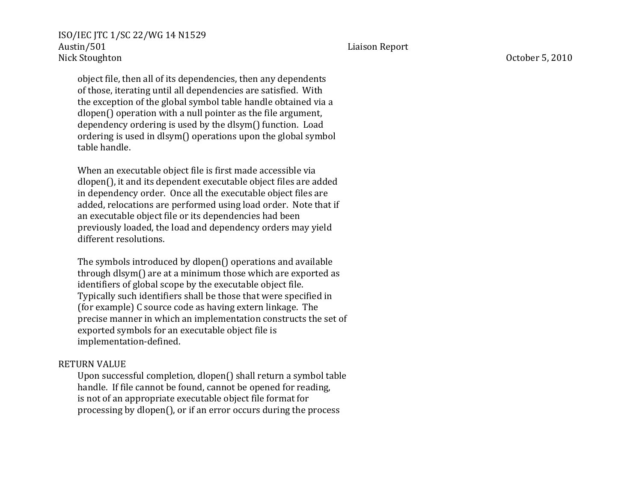object file, then all of its dependencies, then any dependents of those, iterating until all dependencies are satisfied. With the exception of the global symbol table handle obtained via a dlopen() operation with a null pointer as the file argument, dependency ordering is used by the dlsym() function. Load ordering is used in dlsym() operations upon the global symbol table handle.

When an executable object file is first made accessible via dlopen(), it and its dependent executable object files are added in dependency order. Once all the executable object files are added, relocations are performed using load order. Note that if an executable object file or its dependencies had been previously loaded, the load and dependency orders may yield different resolutions.

The symbols introduced by dlopen() operations and available through dlsym() are at a minimum those which are exported as identifiers of global scope by the executable object file. Typically such identifiers shall be those that were specified in (for example) C source code as having extern linkage. The precise manner in which an implementation constructs the set of exported symbols for an executable object file is implementation-defined.

#### RETURN'VALUE

Upon successful completion, dlopen() shall return a symbol table handle. If file cannot be found, cannot be opened for reading, is not of an appropriate executable object file format for processing by dlopen(), or if an error occurs during the process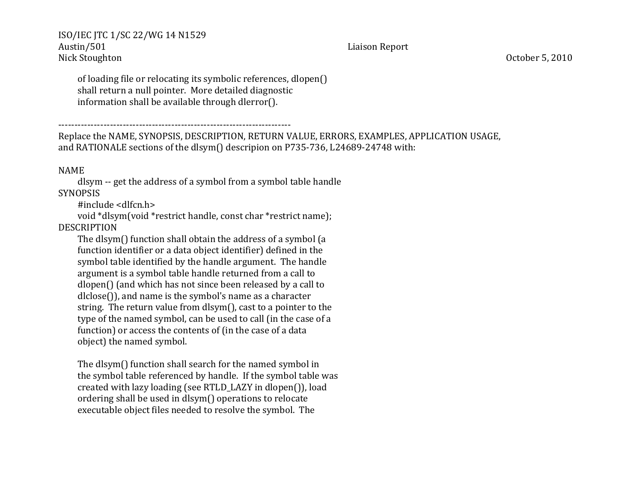of loading file or relocating its symbolic references, dlopen() shall return a null pointer. More detailed diagnostic information shall be available through dlerror().

PPPPPPPPPPPPPPPPPPPPPPPPPPPPPPPPPPPPPPPPPPPPPPPPPPPPPPPPPPPPPPPPPPPPPPPP''

Replace the NAME, SYNOPSIS, DESCRIPTION, RETURN VALUE, ERRORS, EXAMPLES, APPLICATION USAGE, and RATIONALE sections of the dlsym() descripion on P735-736, L24689-24748 with:

## NAME

dlsym -- get the address of a symbol from a symbol table handle **SYNOPSIS** 

#include <dlfcn.h>

void \*dlsym(void \*restrict handle, const char \*restrict name);

# DESCRIPTION

The dlsym() function shall obtain the address of a symbol (a function identifier or a data object identifier) defined in the symbol table identified by the handle argument. The handle argument is a symbol table handle returned from a call to dlopen() (and which has not since been released by a call to  $dlclose()$ , and name is the symbol's name as a character string. The return value from dlsym(), cast to a pointer to the type of the named symbol, can be used to call (in the case of a function) or access the contents of (in the case of a data object) the named symbol.

The dlsym() function shall search for the named symbol in the symbol table referenced by handle. If the symbol table was created with lazy loading (see RTLD\_LAZY in dlopen()), load ordering shall be used in dlsym() operations to relocate executable object files needed to resolve the symbol. The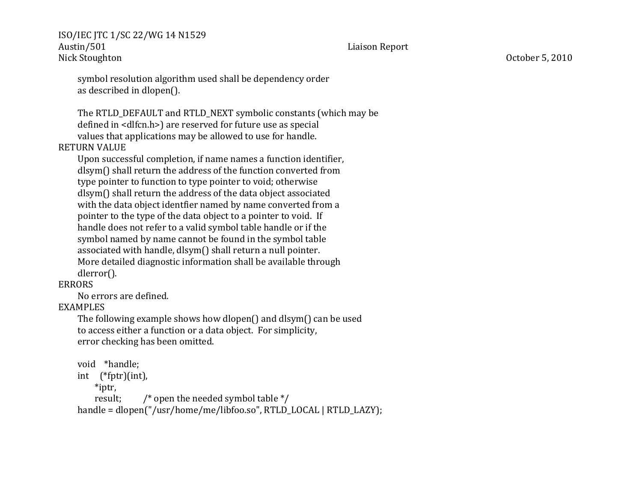symbol resolution algorithm used shall be dependency order as described in dlopen().

The RTLD\_DEFAULT and RTLD\_NEXT symbolic constants (which may be defined in <dlfcn.h>) are reserved for future use as special values that applications may be allowed to use for handle.

#### RETURN'VALUE

'''''''''Upon'successful'completion,'if'name'names'a'function'identifier, dlsym() shall return the address of the function converted from type pointer to function to type pointer to void; otherwise dlsym() shall return the address of the data object associated with the data object identfier named by name converted from a pointer to the type of the data object to a pointer to void. If handle does not refer to a valid symbol table handle or if the symbol named by name cannot be found in the symbol table associated with handle, dlsym() shall return a null pointer. More detailed diagnostic information shall be available through dlerror().

#### ERRORS

No errors are defined.

ISO/IEC JTC 1/SC 22/WG 14 N1529

#### EXAMPLES

The following example shows how dlopen() and dlsym() can be used to access either a function or a data object. For simplicity, error checking has been omitted.

#### void \*handle;

 $int$  (\*fptr)(int),

 $*$ iptr,

result;  $\frac{1}{2}$  /\* open the needed symbol table \*/

handle = dlopen("/usr/home/me/libfoo.so", RTLD\_LOCAL | RTLD\_LAZY);

Austin/501 Liaison Report

Nick Stoughton October 5, 2010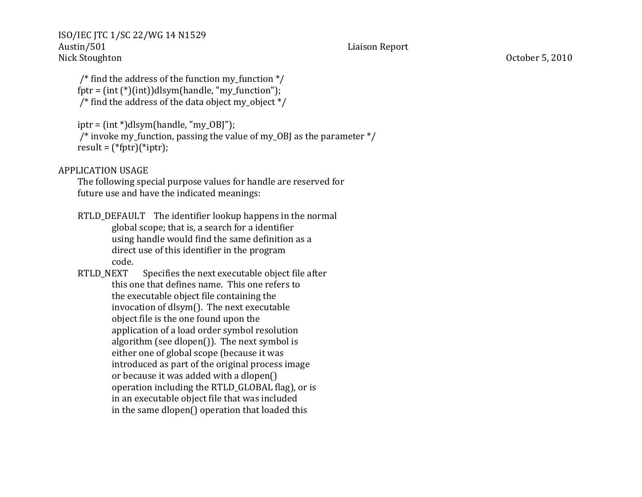/\* find the address of the function my function  $*/$  $fptr = (int (*)(int))dlsym(handle, "my function").$ /\* find the address of the data object my object  $*/$ 

 $iptr = (int<sup>*</sup>)dlsym(handle, "my OB]$ ");

 $'$ ''''''''' invoke my function, passing the value of my OBJ as the parameter  $'$  $result = (*fptr)(*iptr);$ 

APPLICATION'USAGE

The following special purpose values for handle are reserved for future use and have the indicated meanings:

RTLD\_DEFAULT The identifier lookup happens in the normal ''''''''''''''''''' '''''global'scope;'that'is,'a'search'for'a'identifier using handle would find the same definition as a direct use of this identifier in the program code.

RTLD\_NEXT Specifies the next executable object file after this one that defines name. This one refers to the executable object file containing the invocation of dlsym(). The next executable object file is the one found upon the application of a load order symbol resolution algorithm (see dlopen()). The next symbol is either one of global scope (because it was introduced as part of the original process image or because it was added with a dlopen() operation including the RTLD\_GLOBAL flag), or is in an executable object file that was included in the same dlopen() operation that loaded this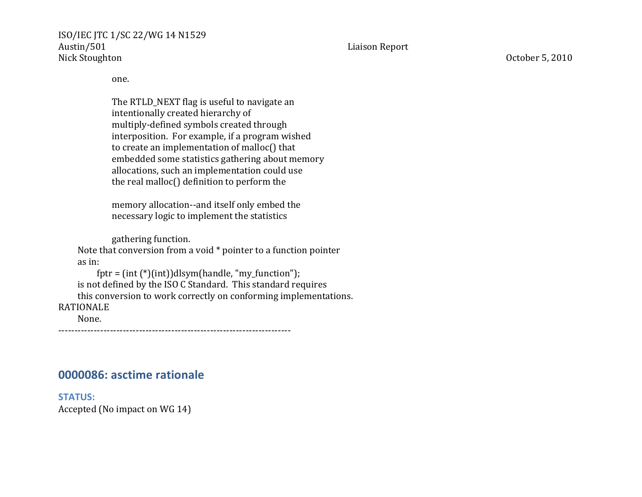one.

The RTLD\_NEXT flag is useful to navigate an intentionally created hierarchy of multiply-defined symbols created through interposition. For example, if a program wished to create an implementation of malloc() that embedded some statistics gathering about memory allocations, such an implementation could use the real malloc() definition to perform the

memory allocation--and itself only embed the necessary logic to implement the statistics

gathering function. Note that conversion from a void \* pointer to a function pointer as in:  $fptr = (int (*)(int))dlsym(handle, "my_function");$ is not defined by the ISO C Standard. This standard requires this conversion to work correctly on conforming implementations. RATIONALE None.

PPPPPPPPPPPPPPPPPPPPPPPPPPPPPPPPPPPPPPPPPPPPPPPPPPPPPPPPPPPPPPPPPPPPPPPP

# **0000086: asctime rationale**

**STATUS:** Accepted (No impact on WG 14)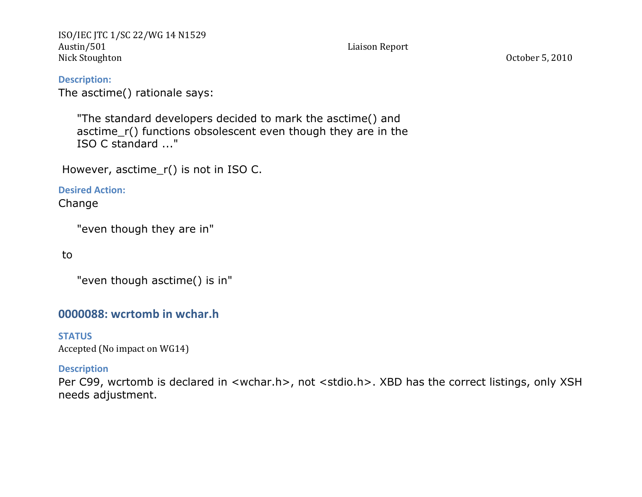**Description:** The asctime() rationale says:

> "The standard developers decided to mark the asctime() and asctime\_r() functions obsolescent even though they are in the ISO C standard ..."

However, asctime  $r()$  is not in ISO C.

**Desired Action:** 

Change

"even though they are in"

to

"even though asctime() is in"

# **0000088: wcrtomb in wchar.h**

**STATUS** Accepted (No impact on WG14)

## **Description**

Per C99, wcrtomb is declared in <wchar.h>, not <stdio.h>. XBD has the correct listings, only XSH needs adjustment.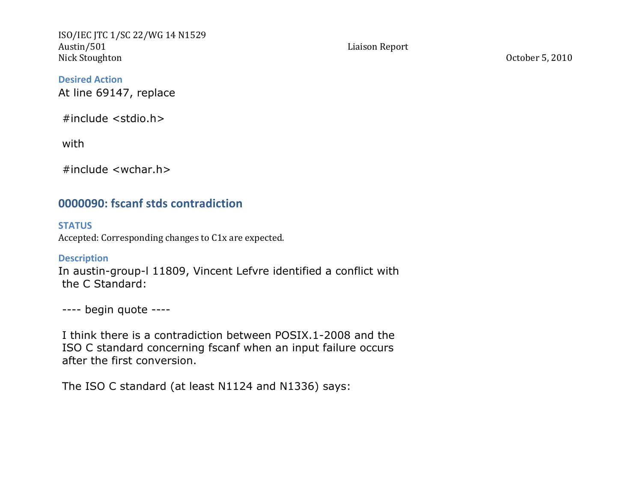**Desired Action** At line 69147, replace

#include <stdio.h>

with

#include <wchar.h>

# **0000090: fscanf stds contradiction**

**STATUS** Accepted: Corresponding changes to C1x are expected.

**Description** In austin-group-l 11809, Vincent Lefvre identified a conflict with the C Standard:

---- begin quote ----

I think there is a contradiction between POSIX.1-2008 and the ISO C standard concerning fscanf when an input failure occurs after the first conversion.

The ISO C standard (at least N1124 and N1336) says: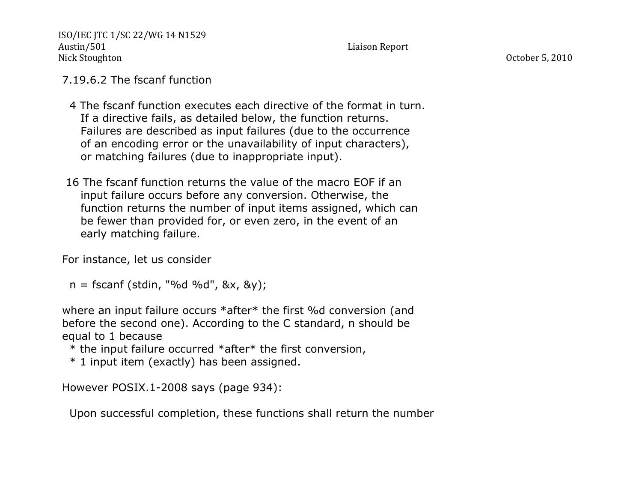# 7.19.6.2 The fscanf function

- 4 The fscanf function executes each directive of the format in turn. If a directive fails, as detailed below, the function returns. Failures are described as input failures (due to the occurrence of an encoding error or the unavailability of input characters), or matching failures (due to inappropriate input).
- 16 The fscanf function returns the value of the macro EOF if an input failure occurs before any conversion. Otherwise, the function returns the number of input items assigned, which can be fewer than provided for, or even zero, in the event of an early matching failure.

For instance, let us consider

 $n =$  fscanf (stdin, "%d %d", &x, &y);

where an input failure occurs \*after\* the first %d conversion (and before the second one). According to the C standard, n should be equal to 1 because

\* the input failure occurred \*after\* the first conversion,

\* 1 input item (exactly) has been assigned.

However POSIX.1-2008 says (page 934):

Upon successful completion, these functions shall return the number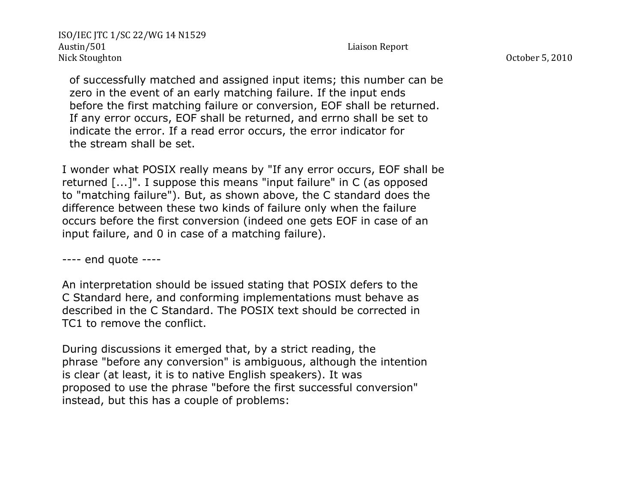of successfully matched and assigned input items; this number can be zero in the event of an early matching failure. If the input ends before the first matching failure or conversion, EOF shall be returned. If any error occurs, EOF shall be returned, and errno shall be set to indicate the error. If a read error occurs, the error indicator for the stream shall be set.

I wonder what POSIX really means by "If any error occurs, EOF shall be returned [...]". I suppose this means "input failure" in C (as opposed to "matching failure"). But, as shown above, the C standard does the difference between these two kinds of failure only when the failure occurs before the first conversion (indeed one gets EOF in case of an input failure, and 0 in case of a matching failure).

---- end quote ----

An interpretation should be issued stating that POSIX defers to the C Standard here, and conforming implementations must behave as described in the C Standard. The POSIX text should be corrected in TC1 to remove the conflict.

During discussions it emerged that, by a strict reading, the phrase "before any conversion" is ambiguous, although the intention is clear (at least, it is to native English speakers). It was proposed to use the phrase "before the first successful conversion" instead, but this has a couple of problems: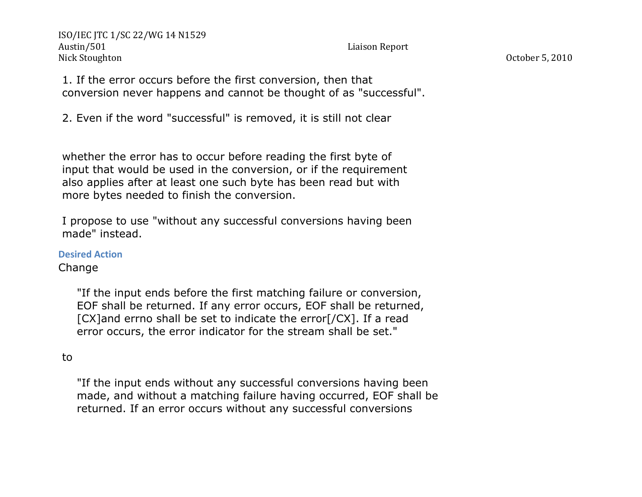1. If the error occurs before the first conversion, then that conversion never happens and cannot be thought of as "successful".

2. Even if the word "successful" is removed, it is still not clear

whether the error has to occur before reading the first byte of input that would be used in the conversion, or if the requirement also applies after at least one such byte has been read but with more bytes needed to finish the conversion.

I propose to use "without any successful conversions having been made" instead.

**Desired Action** 

Change

 "If the input ends before the first matching failure or conversion, EOF shall be returned. If any error occurs, EOF shall be returned, [CX]and errno shall be set to indicate the error[/CX]. If a read error occurs, the error indicator for the stream shall be set."

# to

 "If the input ends without any successful conversions having been made, and without a matching failure having occurred, EOF shall be returned. If an error occurs without any successful conversions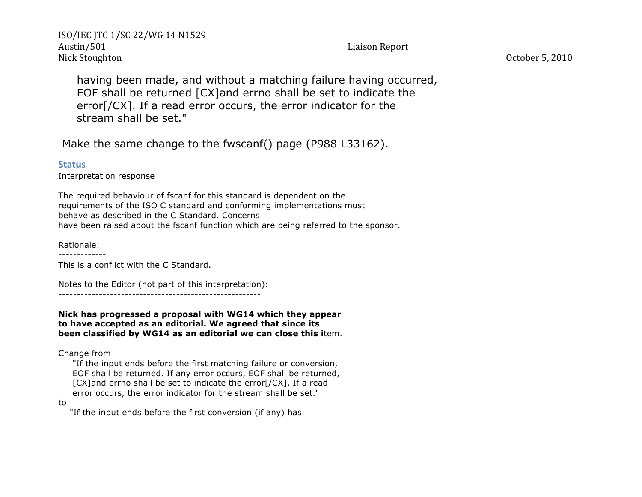having been made, and without a matching failure having occurred, EOF shall be returned [CX]and errno shall be set to indicate the error[/CX]. If a read error occurs, the error indicator for the stream shall be set."

Make the same change to the fwscanf() page (P988 L33162).

#### **Status**

Interpretation response

------------------------

The required behaviour of fscanf for this standard is dependent on the requirements of the ISO C standard and conforming implementations must behave as described in the C Standard. Concerns have been raised about the fscanf function which are being referred to the sponsor.

Rationale:

-------------

This is a conflict with the C Standard.

Notes to the Editor (not part of this interpretation):

-------------------------------------------------------

**Nick has progressed a proposal with WG14 which they appear to have accepted as an editorial. We agreed that since its been classified by WG14 as an editorial we can close this i**tem.

Change from

 "If the input ends before the first matching failure or conversion, EOF shall be returned. If any error occurs, EOF shall be returned, [CX]and errno shall be set to indicate the error[/CX]. If a read error occurs, the error indicator for the stream shall be set."

to

"If the input ends before the first conversion (if any) has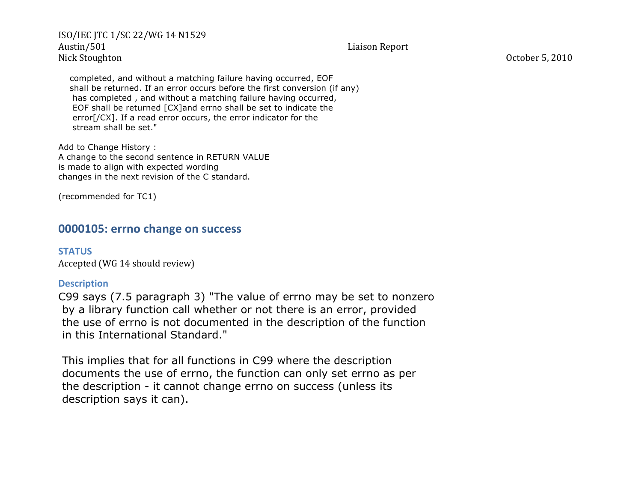completed, and without a matching failure having occurred, EOF shall be returned. If an error occurs before the first conversion (if any) has completed , and without a matching failure having occurred, EOF shall be returned [CX]and errno shall be set to indicate the error[/CX]. If a read error occurs, the error indicator for the stream shall be set."

Add to Change History : A change to the second sentence in RETURN VALUE is made to align with expected wording changes in the next revision of the C standard.

(recommended for TC1)

# **0000105: errno change on success**

**STATUS** Accepted (WG 14 should review)

## **Description**

C99 says (7.5 paragraph 3) "The value of errno may be set to nonzero by a library function call whether or not there is an error, provided the use of errno is not documented in the description of the function in this International Standard."

This implies that for all functions in C99 where the description documents the use of errno, the function can only set errno as per the description - it cannot change errno on success (unless its description says it can).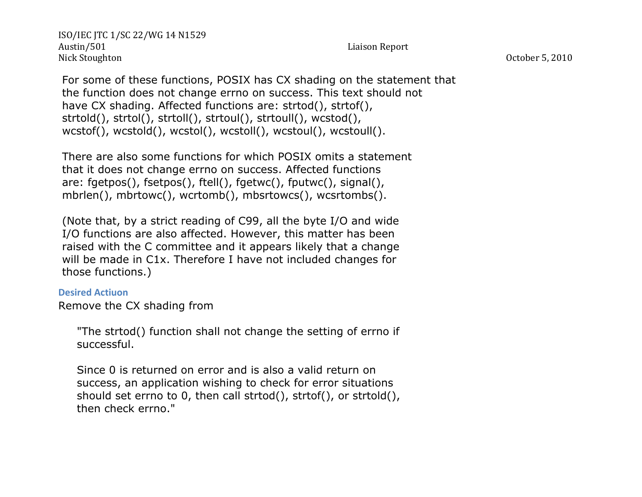For some of these functions, POSIX has CX shading on the statement that the function does not change errno on success. This text should not have CX shading. Affected functions are: strtod(), strtof(), strtold(), strtol(), strtoll(), strtoul(), strtoull(), wcstod(), wcstof(), wcstold(), wcstol(), wcstoll(), wcstoul(), wcstoull().

There are also some functions for which POSIX omits a statement that it does not change errno on success. Affected functions are: fgetpos(), fsetpos(), ftell(), fgetwc(), fputwc(), signal(), mbrlen(), mbrtowc(), wcrtomb(), mbsrtowcs(), wcsrtombs().

(Note that, by a strict reading of C99, all the byte I/O and wide I/O functions are also affected. However, this matter has been raised with the C committee and it appears likely that a change will be made in C1x. Therefore I have not included changes for those functions.)

## **Desired Actiuon**

Remove the CX shading from

 "The strtod() function shall not change the setting of errno if successful.

 Since 0 is returned on error and is also a valid return on success, an application wishing to check for error situations should set errno to 0, then call strtod(), strtof(), or strtold(), then check errno."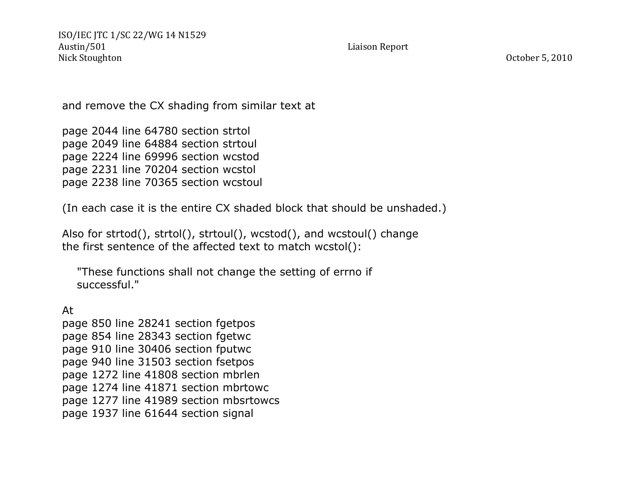and remove the CX shading from similar text at

page 2044 line 64780 section strtol page 2049 line 64884 section strtoul page 2224 line 69996 section wcstod page 2231 line 70204 section wcstol page 2238 line 70365 section wcstoul

(In each case it is the entire CX shaded block that should be unshaded.)

Also for strtod(), strtol(), strtoul(), wcstod(), and wcstoul() change the first sentence of the affected text to match wcstol():

 "These functions shall not change the setting of errno if successful."

At

page 850 line 28241 section fgetpos page 854 line 28343 section fgetwc page 910 line 30406 section fputwc page 940 line 31503 section fsetpos page 1272 line 41808 section mbrlen page 1274 line 41871 section mbrtowc page 1277 line 41989 section mbsrtowcs page 1937 line 61644 section signal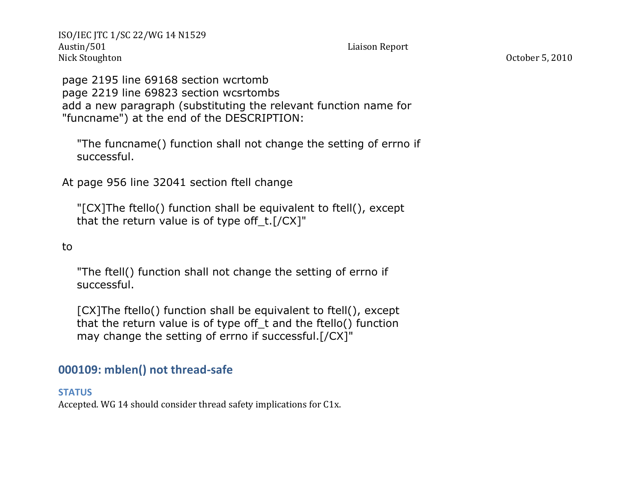page 2195 line 69168 section wcrtomb page 2219 line 69823 section wcsrtombs add a new paragraph (substituting the relevant function name for "funcname") at the end of the DESCRIPTION:

 "The funcname() function shall not change the setting of errno if successful.

At page 956 line 32041 section ftell change

 "[CX]The ftello() function shall be equivalent to ftell(), except that the return value is of type off  $t.[/CX]$ "

to

 "The ftell() function shall not change the setting of errno if successful.

 [CX]The ftello() function shall be equivalent to ftell(), except that the return value is of type off\_t and the ftello() function may change the setting of errno if successful.[/CX]"

# **000109: mblen() not thread-safe**

**STATUS**

Accepted. WG 14 should consider thread safety implications for C1x.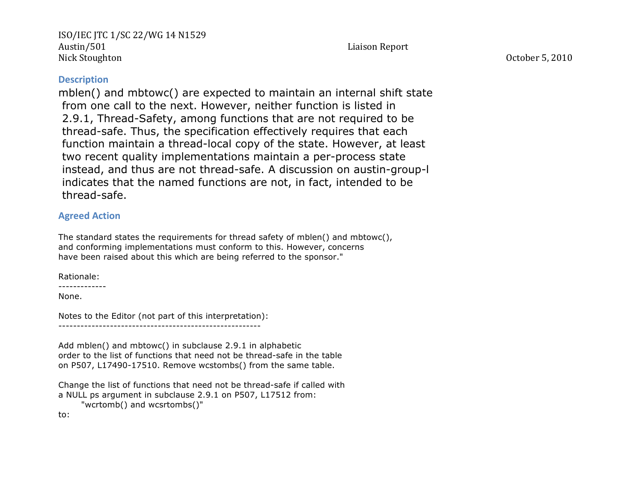**Description**

mblen() and mbtowc() are expected to maintain an internal shift state from one call to the next. However, neither function is listed in 2.9.1, Thread-Safety, among functions that are not required to be thread-safe. Thus, the specification effectively requires that each function maintain a thread-local copy of the state. However, at least two recent quality implementations maintain a per-process state instead, and thus are not thread-safe. A discussion on austin-group-l indicates that the named functions are not, in fact, intended to be thread-safe.

### **Agreed Action**

The standard states the requirements for thread safety of mblen() and mbtowc(), and conforming implementations must conform to this. However, concerns have been raised about this which are being referred to the sponsor."

Rationale:

-------------

None.

Notes to the Editor (not part of this interpretation): -------------------------------------------------------

Add mblen() and mbtowc() in subclause 2.9.1 in alphabetic order to the list of functions that need not be thread-safe in the table on P507, L17490-17510. Remove wcstombs() from the same table.

Change the list of functions that need not be thread-safe if called with a NULL ps argument in subclause 2.9.1 on P507, L17512 from: "wcrtomb() and wcsrtombs()"

to: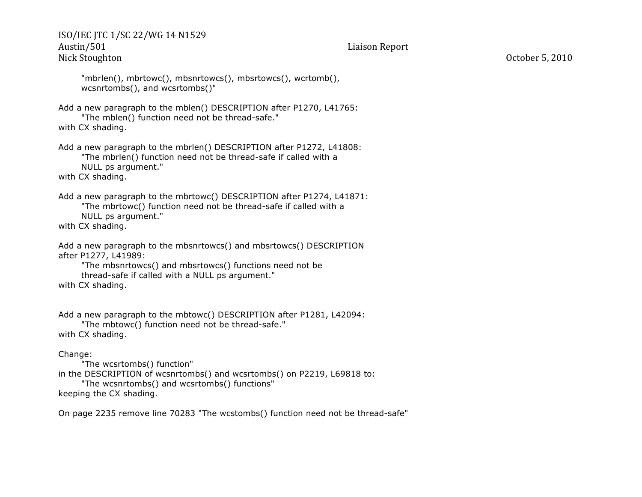```
 "mbrlen(), mbrtowc(), mbsnrtowcs(), mbsrtowcs(), wcrtomb(),
 wcsnrtombs(), and wcsrtombs()"
```
Add a new paragraph to the mblen() DESCRIPTION after P1270, L41765: "The mblen() function need not be thread-safe." with CX shading.

Add a new paragraph to the mbrlen() DESCRIPTION after P1272, L41808: "The mbrlen() function need not be thread-safe if called with a NULL ps argument."

with CX shading.

Add a new paragraph to the mbrtowc() DESCRIPTION after P1274, L41871: "The mbrtowc() function need not be thread-safe if called with a NULL ps argument."

with CX shading.

```
Add a new paragraph to the mbsnrtowcs() and mbsrtowcs() DESCRIPTION
after P1277, L41989:
```
 "The mbsnrtowcs() and mbsrtowcs() functions need not be thread-safe if called with a NULL ps argument." with CX shading.

Add a new paragraph to the mbtowc() DESCRIPTION after P1281, L42094:

 "The mbtowc() function need not be thread-safe." with CX shading.

#### Change:

```
 "The wcsrtombs() function"
in the DESCRIPTION of wcsnrtombs() and wcsrtombs() on P2219, L69818 to:
      "The wcsnrtombs() and wcsrtombs() functions"
keeping the CX shading.
```
On page 2235 remove line 70283 "The wcstombs() function need not be thread-safe"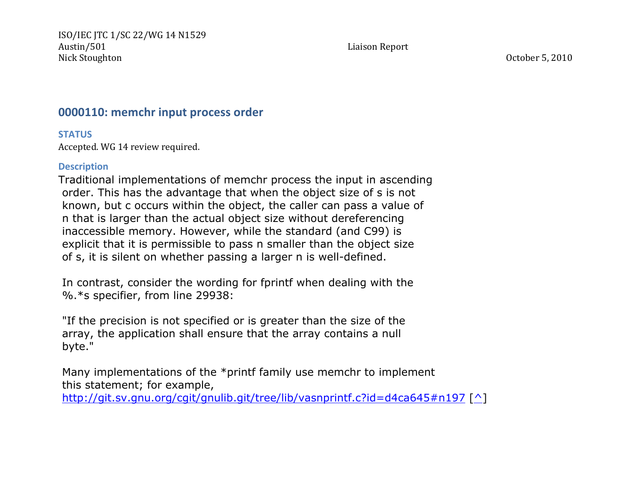# **0000110: memchr input process order**

**STATUS**

Accepted. WG 14 review required.

## **Description**

Traditional implementations of memchr process the input in ascending order. This has the advantage that when the object size of s is not known, but c occurs within the object, the caller can pass a value of n that is larger than the actual object size without dereferencing inaccessible memory. However, while the standard (and C99) is explicit that it is permissible to pass n smaller than the object size of s, it is silent on whether passing a larger n is well-defined.

In contrast, consider the wording for fprintf when dealing with the %.\*s specifier, from line 29938:

"If the precision is not specified or is greater than the size of the array, the application shall ensure that the array contains a null byte."

Many implementations of the \*printf family use memchr to implement this statement; for example,

http://git.sv.gnu.org/cgit/gnulib.git/tree/lib/vasnprintf.c?id=d4ca645#n197 [^]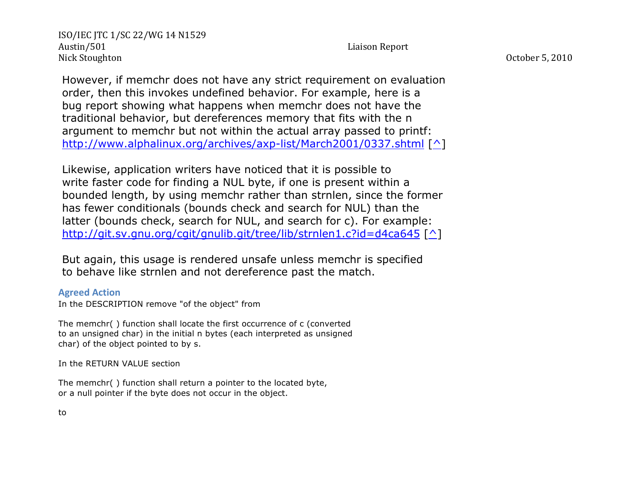However, if memchr does not have any strict requirement on evaluation order, then this invokes undefined behavior. For example, here is a bug report showing what happens when memchr does not have the traditional behavior, but dereferences memory that fits with the n argument to memchr but not within the actual array passed to printf: http://www.alphalinux.org/archives/axp-list/March2001/0337.shtml [^]

Likewise, application writers have noticed that it is possible to write faster code for finding a NUL byte, if one is present within a bounded length, by using memchr rather than strnlen, since the former has fewer conditionals (bounds check and search for NUL) than the latter (bounds check, search for NUL, and search for c). For example: http://git.sv.gnu.org/cgit/gnulib.git/tree/lib/strnlen1.c?id=d4ca645 [^]

But again, this usage is rendered unsafe unless memchr is specified to behave like strnlen and not dereference past the match.

### **Agreed Action**

In the DESCRIPTION remove "of the object" from

The memchr( ) function shall locate the first occurrence of c (converted to an unsigned char) in the initial n bytes (each interpreted as unsigned char) of the object pointed to by s.

In the RETURN VALUE section

The memchr( ) function shall return a pointer to the located byte, or a null pointer if the byte does not occur in the object.

to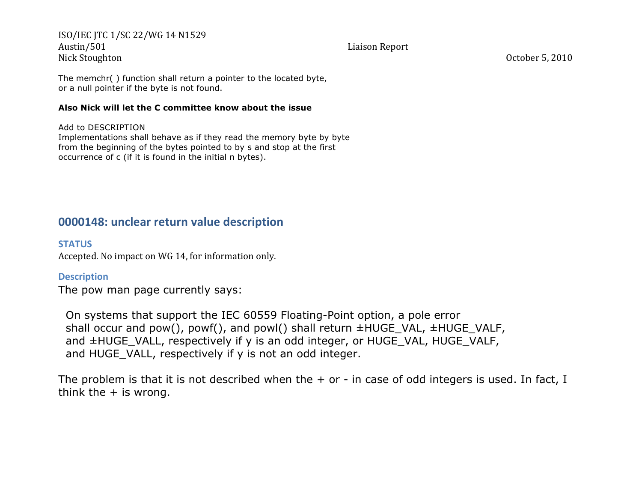The memchr( ) function shall return a pointer to the located byte, or a null pointer if the byte is not found.

#### **Also Nick will let the C committee know about the issue**

Add to DESCRIPTION

Implementations shall behave as if they read the memory byte by byte from the beginning of the bytes pointed to by s and stop at the first occurrence of c (if it is found in the initial n bytes).

# **0000148: unclear return value description**

## **STATUS**

Accepted. No impact on WG 14, for information only.

## **Description**

The pow man page currently says:

 On systems that support the IEC 60559 Floating-Point option, a pole error shall occur and pow(), powf(), and powl() shall return  $\pm HUGE$  VAL,  $\pm HUGE$  VALF, and  $\pm$ HUGE VALL, respectively if y is an odd integer, or HUGE VAL, HUGE VALF, and HUGE VALL, respectively if y is not an odd integer.

The problem is that it is not described when the  $+$  or  $-$  in case of odd integers is used. In fact, I think the  $+$  is wrong.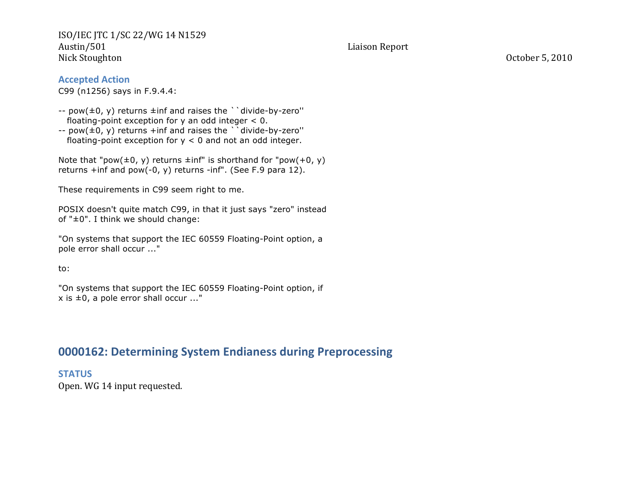#### **Accepted Action**

C99 (n1256) says in F.9.4.4:

- $-$  pow( $\pm$ 0, y) returns  $\pm$ inf and raises the ` divide-by-zero" floating-point exception for  $y$  an odd integer  $< 0$ .
- --  $pow(±0, y)$  returns +inf and raises the ` divide-by-zero" floating-point exception for  $y < 0$  and not an odd integer.

Note that "pow( $\pm 0$ , y) returns  $\pm$ inf" is shorthand for "pow( $+0$ , y) returns +inf and pow(-0, y) returns -inf". (See F.9 para 12).

These requirements in C99 seem right to me.

POSIX doesn't quite match C99, in that it just says "zero" instead of "±0". I think we should change:

"On systems that support the IEC 60559 Floating-Point option, a pole error shall occur ..."

to:

"On systems that support the IEC 60559 Floating-Point option, if  $x$  is  $\pm 0$ , a pole error shall occur ..."

# **0000162: Determining System Endianess during Preprocessing**

**STATUS**

Open. WG 14 input requested.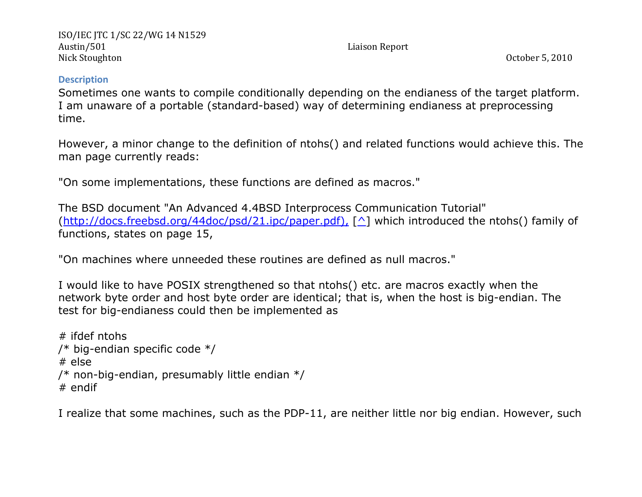## **Description**

Sometimes one wants to compile conditionally depending on the endianess of the target platform. I am unaware of a portable (standard-based) way of determining endianess at preprocessing time.

However, a minor change to the definition of ntohs() and related functions would achieve this. The man page currently reads:

"On some implementations, these functions are defined as macros."

The BSD document "An Advanced 4.4BSD Interprocess Communication Tutorial" (http://docs.freebsd.org/44doc/psd/21.ipc/paper.pdf),  $\lceil \wedge \rceil$  which introduced the ntohs() family of functions, states on page 15,

"On machines where unneeded these routines are defined as null macros."

I would like to have POSIX strengthened so that ntohs() etc. are macros exactly when the network byte order and host byte order are identical; that is, when the host is big-endian. The test for big-endianess could then be implemented as

```
# ifdef ntohs
/* big-endian specific code */
# else
/* non-big-endian, presumably little endian */
# endif
```
I realize that some machines, such as the PDP-11, are neither little nor big endian. However, such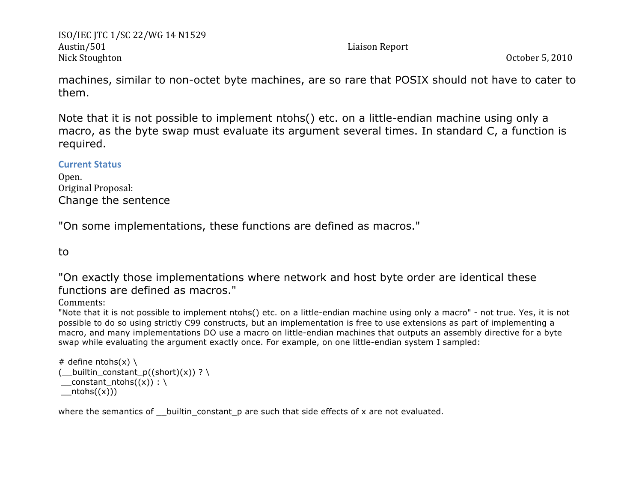machines, similar to non-octet byte machines, are so rare that POSIX should not have to cater to them.

Note that it is not possible to implement ntohs() etc. on a little-endian machine using only a macro, as the byte swap must evaluate its argument several times. In standard C, a function is required.

## **Current%Status**

Open.' Original Proposal: Change the sentence

"On some implementations, these functions are defined as macros."

to

"On exactly those implementations where network and host byte order are identical these functions are defined as macros."

Comments:

"Note that it is not possible to implement ntohs() etc. on a little-endian machine using only a macro" - not true. Yes, it is not possible to do so using strictly C99 constructs, but an implementation is free to use extensions as part of implementing a macro, and many implementations DO use a macro on little-endian machines that outputs an assembly directive for a byte swap while evaluating the argument exactly once. For example, on one little-endian system I sampled:

```
# define ntohs(x) \setminus( builtin constant p((short)(x)) ? \setminusconstant ntohs((x)) : \
_ntohs((x)))
```
where the semantics of \_\_ builtin\_constant\_p are such that side effects of x are not evaluated.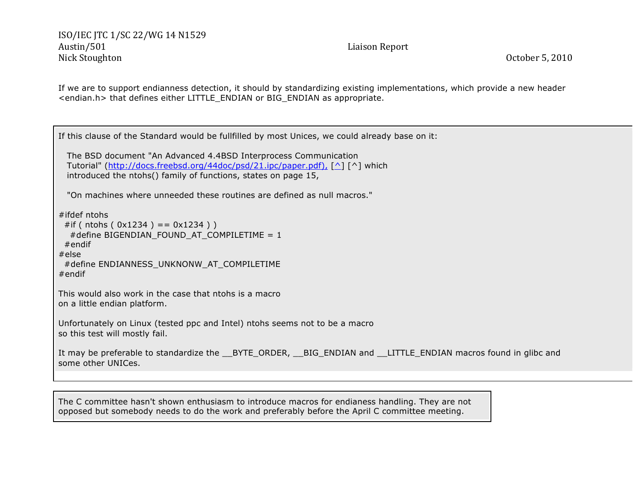If we are to support endianness detection, it should by standardizing existing implementations, which provide a new header <endian.h> that defines either LITTLE\_ENDIAN or BIG\_ENDIAN as appropriate.

If this clause of the Standard would be fullfilled by most Unices, we could already base on it: The BSD document "An Advanced 4.4BSD Interprocess Communication Tutorial" (http://docs.freebsd.org/44doc/psd/21.ipc/paper.pdf), [^] [^] which introduced the ntohs() family of functions, states on page 15, "On machines where unneeded these routines are defined as null macros." #ifdef ntohs #if ( ntohs (  $0x1234$  ) ==  $0x1234$  ) ) #define BIGENDIAN\_FOUND\_AT\_COMPILETIME = 1 #endif #else #define ENDIANNESS\_UNKNONW\_AT\_COMPILETIME #endif This would also work in the case that ntohs is a macro on a little endian platform. Unfortunately on Linux (tested ppc and Intel) ntohs seems not to be a macro so this test will mostly fail. It may be preferable to standardize the \_\_BYTE\_ORDER, \_\_BIG\_ENDIAN and \_\_LITTLE\_ENDIAN macros found in glibc and some other UNICes.

The C committee hasn't shown enthusiasm to introduce macros for endianess handling. They are not opposed but somebody needs to do the work and preferably before the April C committee meeting.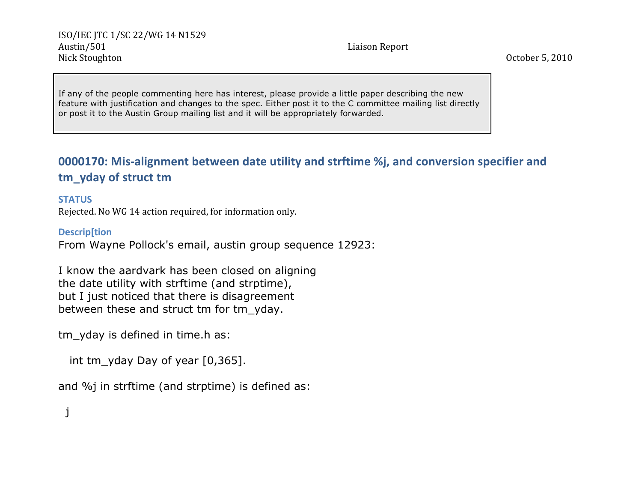If any of the people commenting here has interest, please provide a little paper describing the new feature with justification and changes to the spec. Either post it to the C committee mailing list directly or post it to the Austin Group mailing list and it will be appropriately forwarded.

# **0000170: Mis-alignment between date utility and strftime %j, and conversion specifier and** tm\_yday of struct tm

## **STATUS**

Rejected. No WG 14 action required, for information only.

## **Descrip[tion**

From Wayne Pollock's email, austin group sequence 12923:

I know the aardvark has been closed on aligning the date utility with strftime (and strptime), but I just noticed that there is disagreement between these and struct tm for tm\_yday.

tm yday is defined in time.h as:

int tm\_yday Day of year [0,365].

and %j in strftime (and strptime) is defined as:

j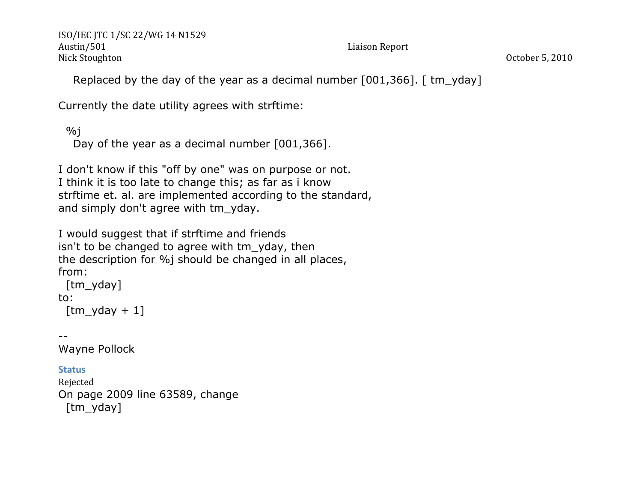Replaced by the day of the year as a decimal number [001,366]. [tm\_yday]

Currently the date utility agrees with strftime:

```
\%j
  Day of the year as a decimal number [001,366].
```
I don't know if this "off by one" was on purpose or not. I think it is too late to change this; as far as i know strftime et. al. are implemented according to the standard, and simply don't agree with tm\_yday.

I would suggest that if strftime and friends isn't to be changed to agree with tm\_yday, then the description for %j should be changed in all places, from:

```
 [tm_yday]
to:
 [tm yday + 1]
```

```
--
```
Wayne Pollock

# **Status**

```
Rejected
On page 2009 line 63589, change
 [tm_yday]
```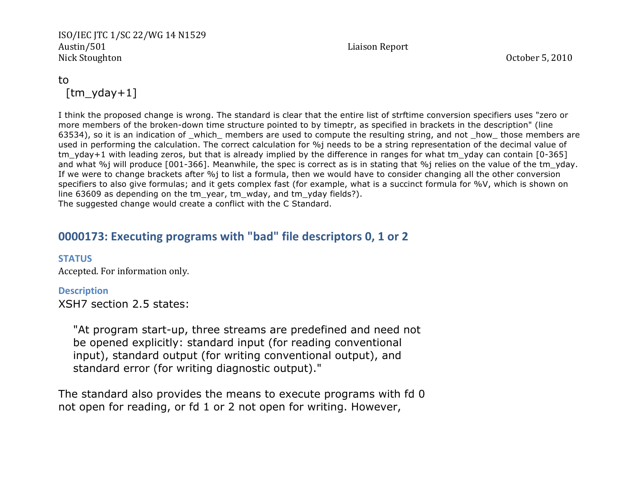# to [tm\_yday+1]

I think the proposed change is wrong. The standard is clear that the entire list of strftime conversion specifiers uses "zero or more members of the broken-down time structure pointed to by timeptr, as specified in brackets in the description" (line 63534), so it is an indication of \_which\_ members are used to compute the resulting string, and not \_how\_ those members are used in performing the calculation. The correct calculation for %j needs to be a string representation of the decimal value of tm yday+1 with leading zeros, but that is already implied by the difference in ranges for what tm\_yday can contain [0-365] and what %j will produce [001-366]. Meanwhile, the spec is correct as is in stating that %j relies on the value of the tm\_yday. If we were to change brackets after %j to list a formula, then we would have to consider changing all the other conversion specifiers to also give formulas; and it gets complex fast (for example, what is a succinct formula for %V, which is shown on line 63609 as depending on the tm\_year, tm\_wday, and tm\_yday fields?). The suggested change would create a conflict with the C Standard.

# **0000173: Executing programs with "bad" file descriptors 0, 1 or 2**

### **STATUS**

Accepted. For information only.

## **Description**

XSH7 section 2.5 states:

 "At program start-up, three streams are predefined and need not be opened explicitly: standard input (for reading conventional input), standard output (for writing conventional output), and standard error (for writing diagnostic output)."

The standard also provides the means to execute programs with fd 0 not open for reading, or fd 1 or 2 not open for writing. However,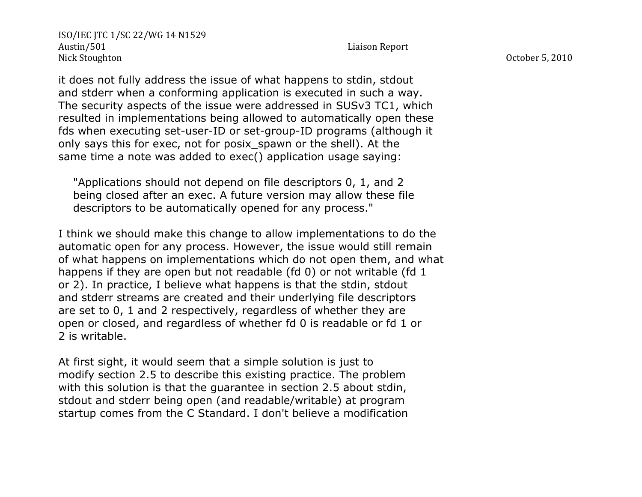it does not fully address the issue of what happens to stdin, stdout and stderr when a conforming application is executed in such a way. The security aspects of the issue were addressed in SUSv3 TC1, which resulted in implementations being allowed to automatically open these fds when executing set-user-ID or set-group-ID programs (although it only says this for exec, not for posix\_spawn or the shell). At the same time a note was added to exec() application usage saying:

 "Applications should not depend on file descriptors 0, 1, and 2 being closed after an exec. A future version may allow these file descriptors to be automatically opened for any process."

I think we should make this change to allow implementations to do the automatic open for any process. However, the issue would still remain of what happens on implementations which do not open them, and what happens if they are open but not readable (fd 0) or not writable (fd 1) or 2). In practice, I believe what happens is that the stdin, stdout and stderr streams are created and their underlying file descriptors are set to 0, 1 and 2 respectively, regardless of whether they are open or closed, and regardless of whether fd 0 is readable or fd 1 or 2 is writable.

At first sight, it would seem that a simple solution is just to modify section 2.5 to describe this existing practice. The problem with this solution is that the quarantee in section 2.5 about stdin, stdout and stderr being open (and readable/writable) at program startup comes from the C Standard. I don't believe a modification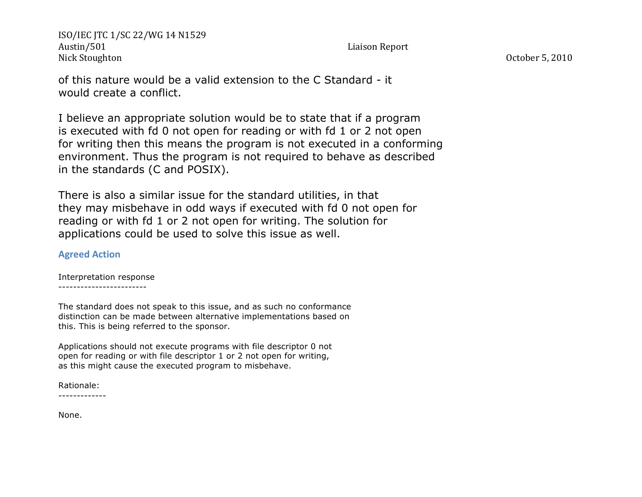of this nature would be a valid extension to the C Standard - it would create a conflict.

I believe an appropriate solution would be to state that if a program is executed with fd 0 not open for reading or with fd 1 or 2 not open for writing then this means the program is not executed in a conforming environment. Thus the program is not required to behave as described in the standards (C and POSIX).

There is also a similar issue for the standard utilities, in that they may misbehave in odd ways if executed with fd 0 not open for reading or with fd 1 or 2 not open for writing. The solution for applications could be used to solve this issue as well.

## **Agreed Action**

Interpretation response ------------------------

The standard does not speak to this issue, and as such no conformance distinction can be made between alternative implementations based on this. This is being referred to the sponsor.

Applications should not execute programs with file descriptor 0 not open for reading or with file descriptor 1 or 2 not open for writing, as this might cause the executed program to misbehave.

Rationale:

-------------

None.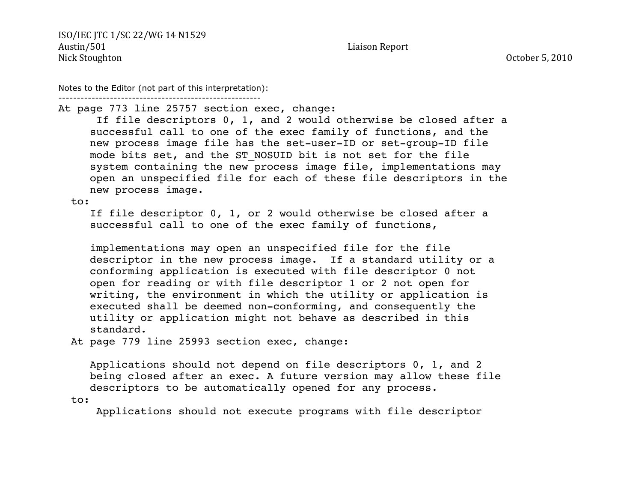Notes to the Editor (not part of this interpretation):

-------------------------------------------------------

At page 773 line 25757 section exec, change:

 If file descriptors 0, 1, and 2 would otherwise be closed after a successful call to one of the exec family of functions, and the new process image file has the set-user-ID or set-group-ID file mode bits set, and the ST\_NOSUID bit is not set for the file system containing the new process image file, implementations may open an unspecified file for each of these file descriptors in the new process image.

to:

 If file descriptor 0, 1, or 2 would otherwise be closed after a successful call to one of the exec family of functions,

 implementations may open an unspecified file for the file descriptor in the new process image. If a standard utility or a conforming application is executed with file descriptor 0 not open for reading or with file descriptor 1 or 2 not open for writing, the environment in which the utility or application is executed shall be deemed non-conforming, and consequently the utility or application might not behave as described in this standard.

At page 779 line 25993 section exec, change:

 Applications should not depend on file descriptors 0, 1, and 2 being closed after an exec. A future version may allow these file descriptors to be automatically opened for any process. to:

Applications should not execute programs with file descriptor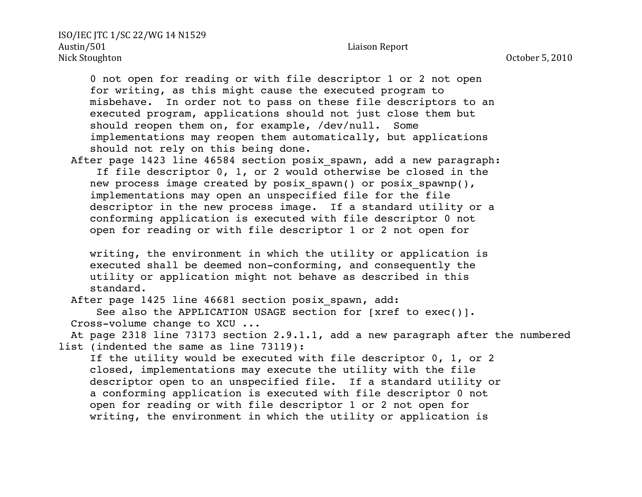0 not open for reading or with file descriptor 1 or 2 not open for writing, as this might cause the executed program to misbehave. In order not to pass on these file descriptors to an executed program, applications should not just close them but should reopen them on, for example, /dev/null. Some implementations may reopen them automatically, but applications should not rely on this being done.

After page 1423 line 46584 section posix spawn, add a new paragraph: If file descriptor 0, 1, or 2 would otherwise be closed in the new process image created by posix spawn() or posix spawnp(), implementations may open an unspecified file for the file descriptor in the new process image. If a standard utility or a conforming application is executed with file descriptor 0 not open for reading or with file descriptor 1 or 2 not open for

 writing, the environment in which the utility or application is executed shall be deemed non-conforming, and consequently the utility or application might not behave as described in this standard.

After page 1425 line 46681 section posix spawn, add:

See also the APPLICATION USAGE section for [xref to exec()]. Cross-volume change to XCU ...

 At page 2318 line 73173 section 2.9.1.1, add a new paragraph after the numbered list (indented the same as line 73119):

 If the utility would be executed with file descriptor 0, 1, or 2 closed, implementations may execute the utility with the file descriptor open to an unspecified file. If a standard utility or a conforming application is executed with file descriptor 0 not open for reading or with file descriptor 1 or 2 not open for writing, the environment in which the utility or application is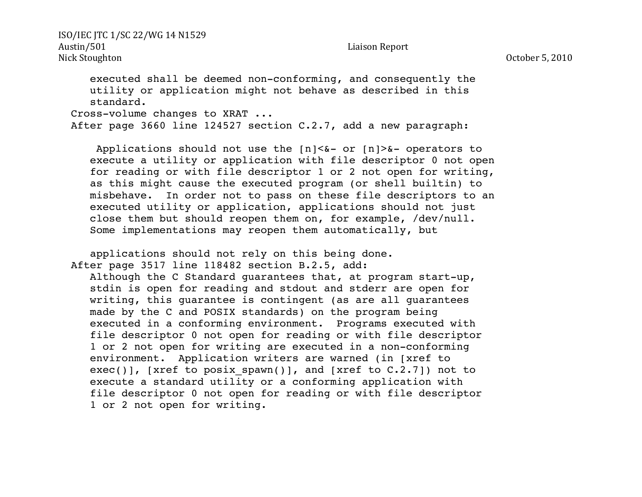executed shall be deemed non-conforming, and consequently the utility or application might not behave as described in this standard. Cross-volume changes to XRAT ... After page 3660 line 124527 section C.2.7, add a new paragraph:

Applications should not use the  $[n] < \& -$  or  $[n] > \& -$  operators to execute a utility or application with file descriptor 0 not open for reading or with file descriptor 1 or 2 not open for writing, as this might cause the executed program (or shell builtin) to misbehave. In order not to pass on these file descriptors to an executed utility or application, applications should not just close them but should reopen them on, for example, /dev/null. Some implementations may reopen them automatically, but

 applications should not rely on this being done. After page 3517 line 118482 section B.2.5, add: Although the C Standard guarantees that, at program start-up, stdin is open for reading and stdout and stderr are open for writing, this guarantee is contingent (as are all guarantees made by the C and POSIX standards) on the program being executed in a conforming environment. Programs executed with file descriptor 0 not open for reading or with file descriptor 1 or 2 not open for writing are executed in a non-conforming environment. Application writers are warned (in [xref to exec()], [xref to posix spawn()], and [xref to  $C.2.7$ ]) not to execute a standard utility or a conforming application with file descriptor 0 not open for reading or with file descriptor 1 or 2 not open for writing.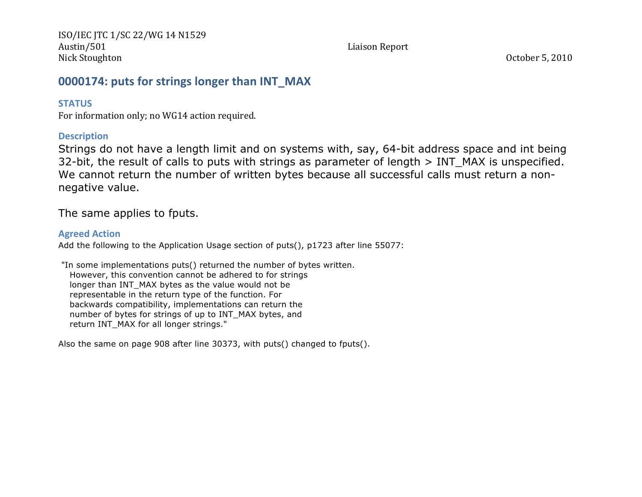# **0000174: puts for strings longer than INT MAX**

## **STATUS**

For information only; no WG14 action required.

## **Description**

Strings do not have a length limit and on systems with, say, 64-bit address space and int being 32-bit, the result of calls to puts with strings as parameter of length > INT\_MAX is unspecified. We cannot return the number of written bytes because all successful calls must return a nonnegative value.

The same applies to fputs.

## **Agreed Action**

Add the following to the Application Usage section of puts(), p1723 after line 55077:

"In some implementations puts() returned the number of bytes written. However, this convention cannot be adhered to for strings longer than INT\_MAX bytes as the value would not be representable in the return type of the function. For backwards compatibility, implementations can return the number of bytes for strings of up to INT\_MAX bytes, and return INT\_MAX for all longer strings."

Also the same on page 908 after line 30373, with puts() changed to fputs().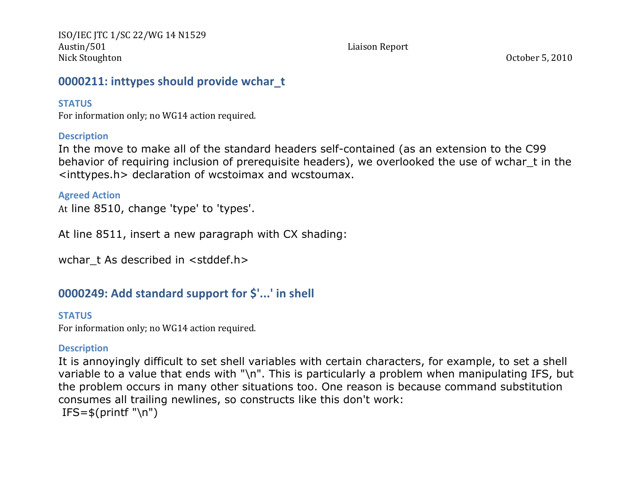# **0000211: inttypes should provide wchar to**

## **STATUS**

For information only; no WG14 action required.

## **Description**

In the move to make all of the standard headers self-contained (as an extension to the C99 behavior of requiring inclusion of prerequisite headers), we overlooked the use of wchar\_t in the <inttypes.h> declaration of wcstoimax and wcstoumax.

## **Agreed Action**

At line 8510, change 'type' to 'types'.

At line 8511, insert a new paragraph with CX shading:

wchar t As described in <stddef.h>

# **0000249: Add standard support for \$'...' in shell**

## **STATUS**

For information only; no WG14 action required.

# **Description**

It is annoyingly difficult to set shell variables with certain characters, for example, to set a shell variable to a value that ends with "\n". This is particularly a problem when manipulating IFS, but the problem occurs in many other situations too. One reason is because command substitution consumes all trailing newlines, so constructs like this don't work:  $IFS=\$(print' \ln")$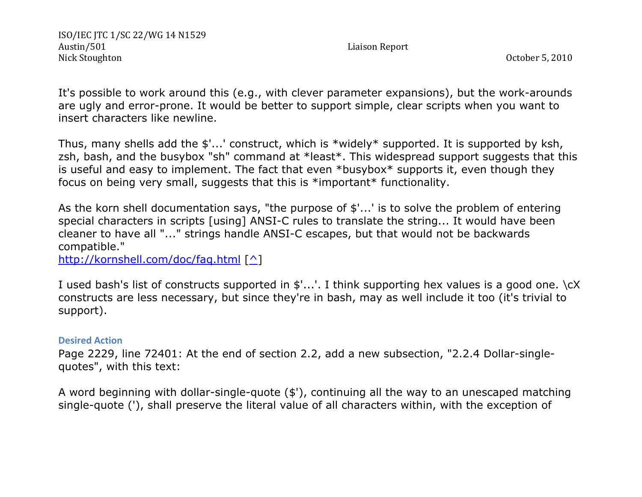It's possible to work around this (e.g., with clever parameter expansions), but the work-arounds are ugly and error-prone. It would be better to support simple, clear scripts when you want to insert characters like newline.

Thus, many shells add the \$'...' construct, which is \*widely\* supported. It is supported by ksh, zsh, bash, and the busybox "sh" command at \*least\*. This widespread support suggests that this is useful and easy to implement. The fact that even \*busybox\* supports it, even though they focus on being very small, suggests that this is \*important\* functionality.

As the korn shell documentation says, "the purpose of \$'...' is to solve the problem of entering special characters in scripts [using] ANSI-C rules to translate the string... It would have been cleaner to have all "..." strings handle ANSI-C escapes, but that would not be backwards compatible."

http://kornshell.com/doc/faq.html [^]

I used bash's list of constructs supported in \$'...'. I think supporting hex values is a good one. \cX constructs are less necessary, but since they're in bash, may as well include it too (it's trivial to support).

## **Desired Action**

Page 2229, line 72401: At the end of section 2.2, add a new subsection, "2.2.4 Dollar-singlequotes", with this text:

A word beginning with dollar-single-quote (\$'), continuing all the way to an unescaped matching single-quote ('), shall preserve the literal value of all characters within, with the exception of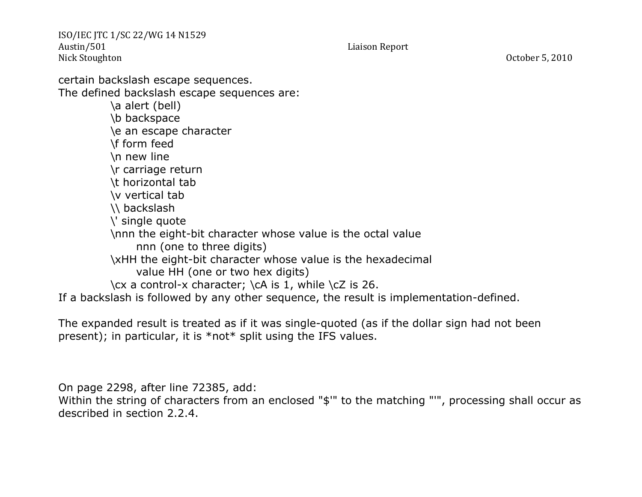certain backslash escape sequences. The defined backslash escape sequences are: \a alert (bell) \b backspace \e an escape character \f form feed \n new line \r carriage return \t horizontal tab \v vertical tab \\ backslash \' single quote \nnn the eight-bit character whose value is the octal value nnn (one to three digits) \xHH the eight-bit character whose value is the hexadecimal value HH (one or two hex digits) \cx a control-x character; \cA is 1, while \cZ is 26. If a backslash is followed by any other sequence, the result is implementation-defined.

The expanded result is treated as if it was single-quoted (as if the dollar sign had not been present); in particular, it is \*not\* split using the IFS values.

On page 2298, after line 72385, add:

Within the string of characters from an enclosed "\$" to the matching "'", processing shall occur as described in section 2.2.4.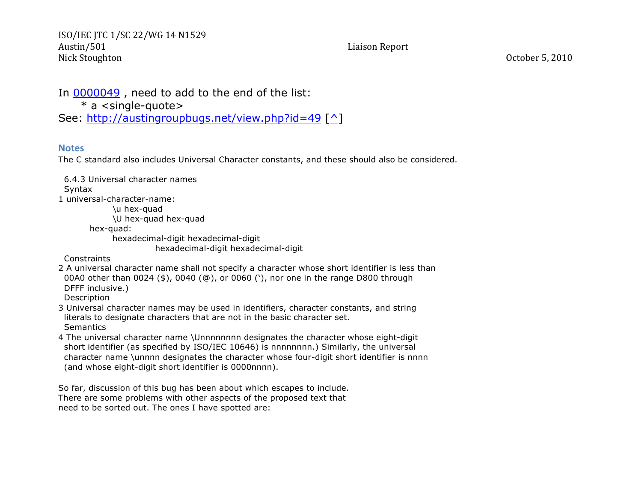In 0000049 , need to add to the end of the list:

\* a <single-quote>

See: http://austingroupbugs.net/view.php?id=49 [^]

#### **Notes**

The C standard also includes Universal Character constants, and these should also be considered.

 6.4.3 Universal character names **Syntax** 1 universal-character-name: \u hex-quad \U hex-quad hex-quad hex-quad: hexadecimal-digit hexadecimal-digit hexadecimal-digit hexadecimal-digit **Constraints** 2 A universal character name shall not specify a character whose short identifier is less than

 00A0 other than 0024 (\$), 0040 (@), or 0060 ('), nor one in the range D800 through DFFF inclusive.)

Description

3 Universal character names may be used in identifiers, character constants, and string literals to designate characters that are not in the basic character set. **Semantics** 

4 The universal character name \Unnnnnnnn designates the character whose eight-digit short identifier (as specified by ISO/IEC 10646) is nnnnnnnn.) Similarly, the universal character name \unnnn designates the character whose four-digit short identifier is nnnn (and whose eight-digit short identifier is 0000nnnn).

So far, discussion of this bug has been about which escapes to include. There are some problems with other aspects of the proposed text that need to be sorted out. The ones I have spotted are: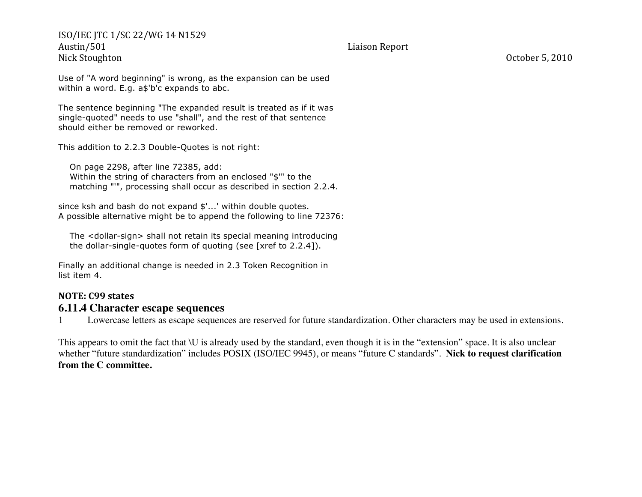Use of "A word beginning" is wrong, as the expansion can be used within a word. E.g. a\$'b'c expands to abc.

The sentence beginning "The expanded result is treated as if it was single-quoted" needs to use "shall", and the rest of that sentence should either be removed or reworked.

This addition to 2.2.3 Double-Quotes is not right:

 On page 2298, after line 72385, add: Within the string of characters from an enclosed "\$'" to the matching "'", processing shall occur as described in section 2.2.4.

since ksh and bash do not expand \$'...' within double quotes. A possible alternative might be to append the following to line 72376:

 The <dollar-sign> shall not retain its special meaning introducing the dollar-single-quotes form of quoting (see [xref to 2.2.4]).

Finally an additional change is needed in 2.3 Token Recognition in list item 4.

### **NOTE: C99 states 6.11.4 Character escape sequences**

1 Lowercase letters as escape sequences are reserved for future standardization. Other characters may be used in extensions.

This appears to omit the fact that \U is already used by the standard, even though it is in the "extension" space. It is also unclear whether "future standardization" includes POSIX (ISO/IEC 9945), or means "future C standards". **Nick to request clarification from the C committee.**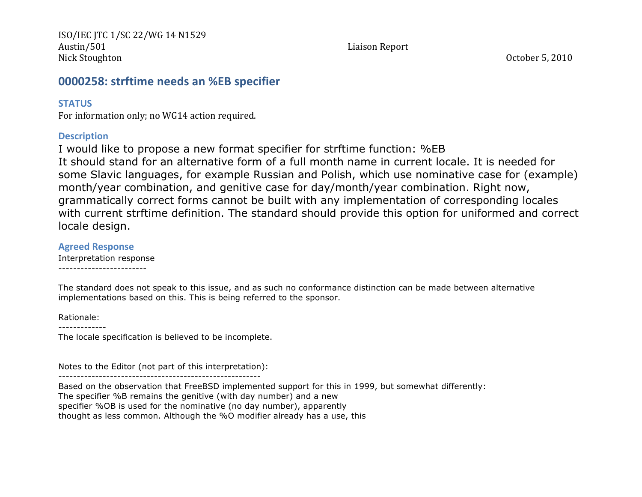# **0000258: strftime needs an %EB specifier**

## **STATUS**

For information only; no WG14 action required.

## **Description**

I would like to propose a new format specifier for strftime function: %EB It should stand for an alternative form of a full month name in current locale. It is needed for some Slavic languages, for example Russian and Polish, which use nominative case for (example) month/year combination, and genitive case for day/month/year combination. Right now, grammatically correct forms cannot be built with any implementation of corresponding locales with current strftime definition. The standard should provide this option for uniformed and correct locale design.

## **Agreed Response**

Interpretation response ------------------------

The standard does not speak to this issue, and as such no conformance distinction can be made between alternative implementations based on this. This is being referred to the sponsor.

Rationale:

The locale specification is believed to be incomplete.

Notes to the Editor (not part of this interpretation):

-------------------------------------------------------

Based on the observation that FreeBSD implemented support for this in 1999, but somewhat differently:

The specifier %B remains the genitive (with day number) and a new

specifier %OB is used for the nominative (no day number), apparently

thought as less common. Although the %O modifier already has a use, this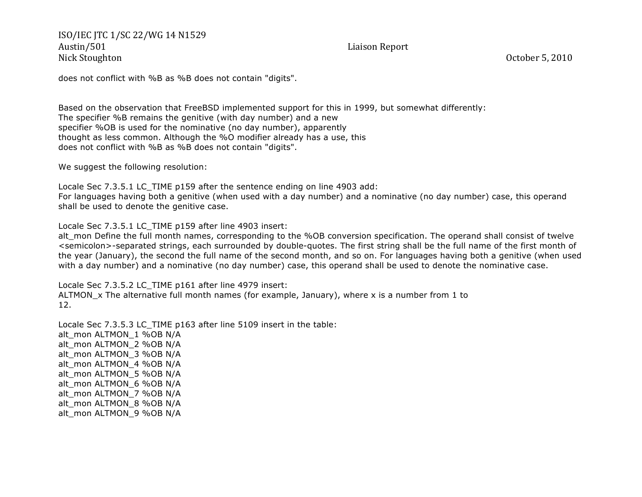does not conflict with %B as %B does not contain "digits".

Based on the observation that FreeBSD implemented support for this in 1999, but somewhat differently: The specifier %B remains the genitive (with day number) and a new specifier %OB is used for the nominative (no day number), apparently thought as less common. Although the %O modifier already has a use, this does not conflict with %B as %B does not contain "digits".

We suggest the following resolution:

Locale Sec 7.3.5.1 LC\_TIME p159 after the sentence ending on line 4903 add: For languages having both a genitive (when used with a day number) and a nominative (no day number) case, this operand shall be used to denote the genitive case.

Locale Sec 7.3.5.1 LC\_TIME p159 after line 4903 insert:

alt mon Define the full month names, corresponding to the %OB conversion specification. The operand shall consist of twelve <semicolon>-separated strings, each surrounded by double-quotes. The first string shall be the full name of the first month of the year (January), the second the full name of the second month, and so on. For languages having both a genitive (when used with a day number) and a nominative (no day number) case, this operand shall be used to denote the nominative case.

Locale Sec 7.3.5.2 LC\_TIME p161 after line 4979 insert: ALTMON  $\times$  The alternative full month names (for example, January), where x is a number from 1 to 12.

Locale Sec 7.3.5.3 LC\_TIME p163 after line 5109 insert in the table: alt\_mon ALTMON\_1 %OB N/A alt\_mon ALTMON\_2 %OB N/A alt\_mon ALTMON\_3 %OB N/A alt\_mon ALTMON\_4 %OB N/A alt\_mon ALTMON\_5 %OB N/A alt\_mon ALTMON\_6 %OB N/A alt\_mon ALTMON\_7 %OB N/A alt\_mon ALTMON\_8 %OB N/A alt\_mon ALTMON\_9 %OB N/A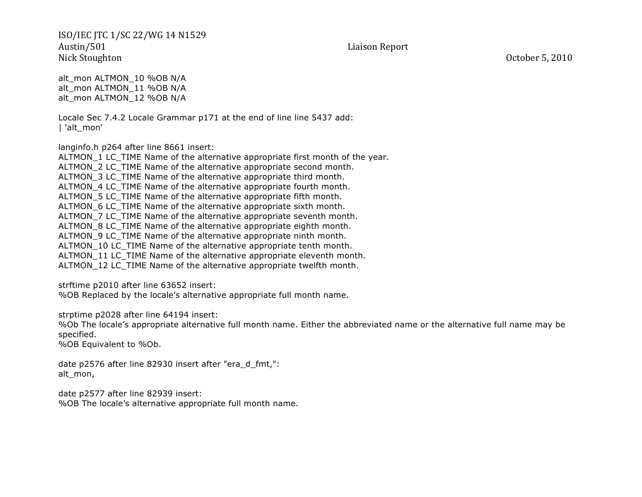alt\_mon ALTMON\_10 %OB N/A alt\_mon ALTMON\_11 %OB N/A alt\_mon ALTMON\_12 %OB N/A

Locale Sec 7.4.2 Locale Grammar p171 at the end of line line 5437 add: | 'alt\_mon'

langinfo.h p264 after line 8661 insert:

ALTMON 1 LC TIME Name of the alternative appropriate first month of the year. ALTMON\_2 LC\_TIME Name of the alternative appropriate second month. ALTMON\_3 LC\_TIME Name of the alternative appropriate third month. ALTMON<sub>4</sub> LC<sub>TIME</sub> Name of the alternative appropriate fourth month. ALTMON\_5 LC\_TIME Name of the alternative appropriate fifth month. ALTMON\_6 LC\_TIME Name of the alternative appropriate sixth month. ALTMON 7 LC TIME Name of the alternative appropriate seventh month. ALTMON 8 LC TIME Name of the alternative appropriate eighth month. ALTMON 9 LC TIME Name of the alternative appropriate ninth month. ALTMON\_10 LC\_TIME Name of the alternative appropriate tenth month. ALTMON\_11 LC\_TIME Name of the alternative appropriate eleventh month. ALTMON\_12 LC\_TIME Name of the alternative appropriate twelfth month.

strftime p2010 after line 63652 insert:

%OB Replaced by the locale's alternative appropriate full month name.

strptime p2028 after line 64194 insert:

%Ob The locale's appropriate alternative full month name. Either the abbreviated name or the alternative full name may be specified.

%OB Equivalent to %Ob.

date p2576 after line 82930 insert after "era\_d\_fmt,": alt\_mon,

date p2577 after line 82939 insert: %OB The locale's alternative appropriate full month name.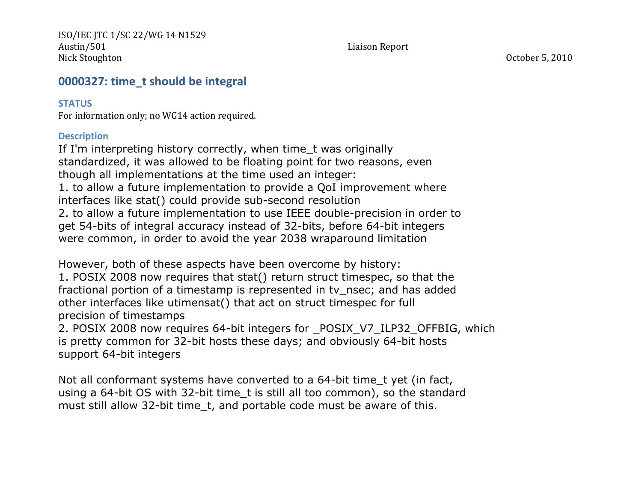# **0000327: time t should be integral**

## **STATUS**

For information only; no WG14 action required.

## **Description**

If I'm interpreting history correctly, when time t was originally standardized, it was allowed to be floating point for two reasons, even though all implementations at the time used an integer: 1. to allow a future implementation to provide a QoI improvement where interfaces like stat() could provide sub-second resolution 2. to allow a future implementation to use IEEE double-precision in order to get 54-bits of integral accuracy instead of 32-bits, before 64-bit integers were common, in order to avoid the year 2038 wraparound limitation

However, both of these aspects have been overcome by history: 1. POSIX 2008 now requires that stat() return struct timespec, so that the fractional portion of a timestamp is represented in tv\_nsec; and has added other interfaces like utimensat() that act on struct timespec for full precision of timestamps

2. POSIX 2008 now requires 64-bit integers for \_POSIX\_V7\_ILP32\_OFFBIG, which is pretty common for 32-bit hosts these days; and obviously 64-bit hosts support 64-bit integers

Not all conformant systems have converted to a 64-bit time\_t yet (in fact, using a 64-bit OS with 32-bit time\_t is still all too common), so the standard must still allow 32-bit time t, and portable code must be aware of this.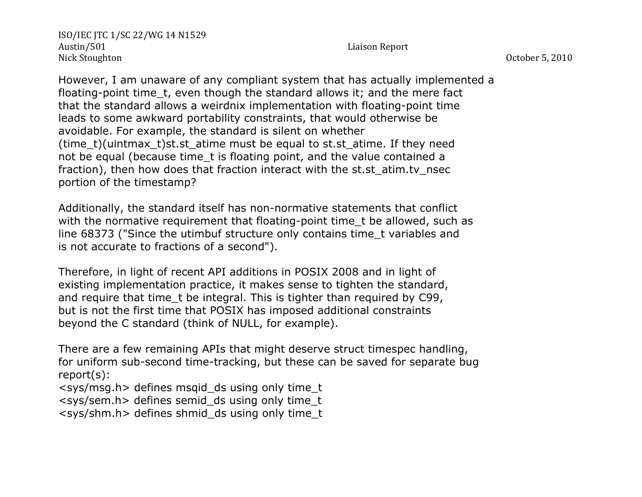However, I am unaware of any compliant system that has actually implemented a floating-point time\_t, even though the standard allows it; and the mere fact that the standard allows a weirdnix implementation with floating-point time leads to some awkward portability constraints, that would otherwise be avoidable. For example, the standard is silent on whether (time  $t$ )(uintmax  $t$ )st.st atime must be equal to st.st atime. If they need not be equal (because time t is floating point, and the value contained a fraction), then how does that fraction interact with the st.st atim.tv nsec portion of the timestamp?

Additionally, the standard itself has non-normative statements that conflict with the normative requirement that floating-point time t be allowed, such as line 68373 ("Since the utimbuf structure only contains time\_t variables and is not accurate to fractions of a second").

Therefore, in light of recent API additions in POSIX 2008 and in light of existing implementation practice, it makes sense to tighten the standard, and require that time t be integral. This is tighter than required by C99, but is not the first time that POSIX has imposed additional constraints beyond the C standard (think of NULL, for example).

There are a few remaining APIs that might deserve struct timespec handling, for uniform sub-second time-tracking, but these can be saved for separate bug report(s):

 $<$ sys/msg.h > defines msgid ds using only time t

<sys/sem.h> defines semid\_ds using only time\_t

 $<$ sys/shm.h > defines shmid ds using only time t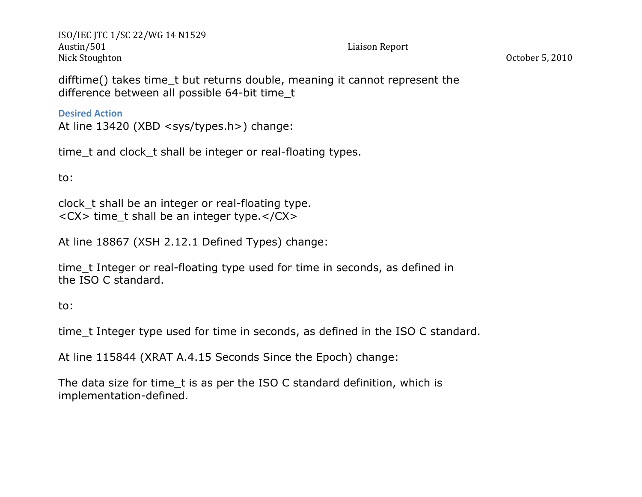difftime() takes time\_t but returns double, meaning it cannot represent the difference between all possible 64-bit time\_t

**Desired Action** 

At line 13420 (XBD <sys/types.h>) change:

time\_t and clock\_t shall be integer or real-floating types.

to:

clock\_t shall be an integer or real-floating type. <CX> time\_t shall be an integer type.</CX>

At line 18867 (XSH 2.12.1 Defined Types) change:

time\_t Integer or real-floating type used for time in seconds, as defined in the ISO C standard.

to:

time t Integer type used for time in seconds, as defined in the ISO C standard.

At line 115844 (XRAT A.4.15 Seconds Since the Epoch) change:

The data size for time\_t is as per the ISO C standard definition, which is implementation-defined.